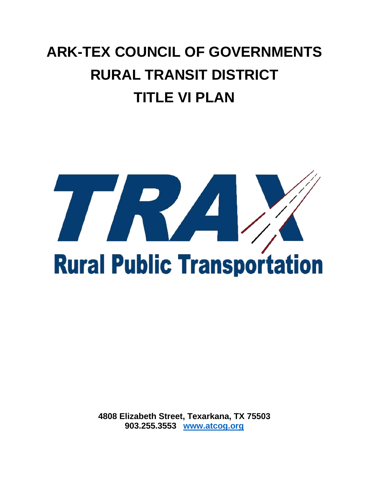## **ARK-TEX COUNCIL OF GOVERNMENTS RURAL TRANSIT DISTRICT TITLE VI PLAN**



**4808 Elizabeth Street, Texarkana, TX 75503 903.255.3553 [www.atcog.org](http://www.atcog.org/)**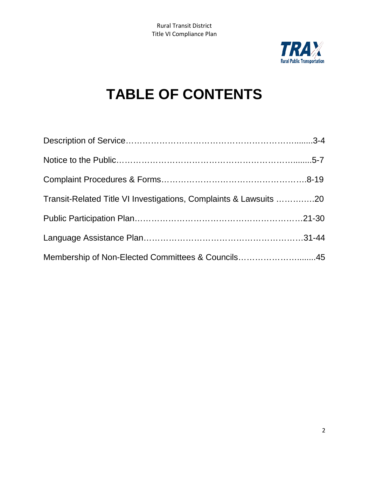

## **TABLE OF CONTENTS**

| Transit-Related Title VI Investigations, Complaints & Lawsuits 20 |  |
|-------------------------------------------------------------------|--|
|                                                                   |  |
|                                                                   |  |
| Membership of Non-Elected Committees & Councils45                 |  |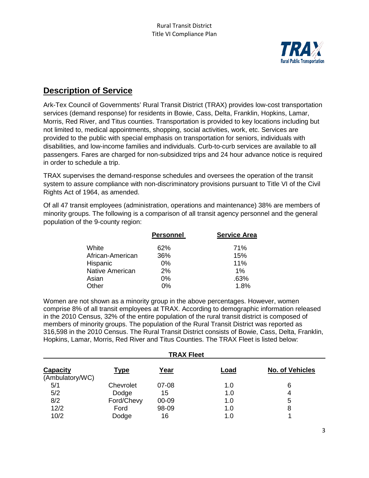

## **Description of Service**

Ark-Tex Council of Governments' Rural Transit District (TRAX) provides low-cost transportation services (demand response) for residents in Bowie, Cass, Delta, Franklin, Hopkins, Lamar, Morris, Red River, and Titus counties. Transportation is provided to key locations including but not limited to, medical appointments, shopping, social activities, work, etc. Services are provided to the public with special emphasis on transportation for seniors, individuals with disabilities, and low-income families and individuals. Curb-to-curb services are available to all passengers. Fares are charged for non-subsidized trips and 24 hour advance notice is required in order to schedule a trip.

TRAX supervises the demand-response schedules and oversees the operation of the transit system to assure compliance with non-discriminatory provisions pursuant to Title VI of the Civil Rights Act of 1964, as amended.

Of all 47 transit employees (administration, operations and maintenance) 38% are members of minority groups. The following is a comparison of all transit agency personnel and the general population of the 9-county region:

|                  | <b>Personnel</b> | <b>Service Area</b> |
|------------------|------------------|---------------------|
| White            | 62%              | 71%                 |
| African-American | 36%              | 15%                 |
| Hispanic         | $0\%$            | 11%                 |
| Native American  | 2%               | 1%                  |
| Asian            | $0\%$            | .63%                |
| Other            | 0%               | 1.8%                |

Women are not shown as a minority group in the above percentages. However, women comprise 8% of all transit employees at TRAX. According to demographic information released in the 2010 Census, 32% of the entire population of the rural transit district is composed of members of minority groups. The population of the Rural Transit District was reported as 316,598 in the 2010 Census. The Rural Transit District consists of Bowie, Cass, Delta, Franklin, Hopkins, Lamar, Morris, Red River and Titus Counties. The TRAX Fleet is listed below:

| <b>TRAX Fleet</b>                  |             |       |      |                        |  |  |
|------------------------------------|-------------|-------|------|------------------------|--|--|
| <b>Capacity</b><br>(Ambulatory/WC) | <b>Type</b> | Year  | Load | <b>No. of Vehicles</b> |  |  |
| 5/1                                | Chevrolet   | 07-08 | 1.0  | 6                      |  |  |
| 5/2                                | Dodge       | 15    | 1.0  |                        |  |  |
| 8/2                                | Ford/Chevy  | 00-09 | 1.0  | 5                      |  |  |
| 12/2                               | Ford        | 98-09 | 1.0  | 8                      |  |  |
| 10/2                               | Dodge       | 16    | 1.0  |                        |  |  |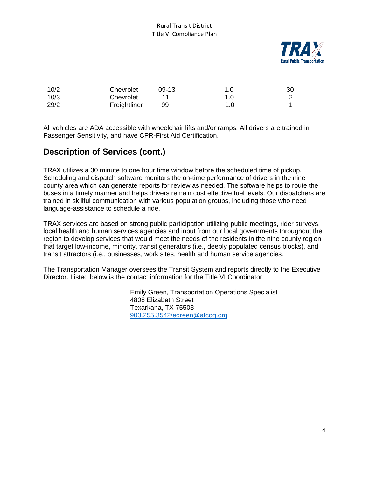

| 10/2 | Chevrolet    | $09-13$ | 1.0 | 30 |
|------|--------------|---------|-----|----|
| 10/3 | Chevrolet    |         | 1.0 |    |
| 29/2 | Freightliner | 99      | 1.0 |    |

All vehicles are ADA accessible with wheelchair lifts and/or ramps. All drivers are trained in Passenger Sensitivity, and have CPR-First Aid Certification.

## **Description of Services (cont.)**

TRAX utilizes a 30 minute to one hour time window before the scheduled time of pickup. Scheduling and dispatch software monitors the on-time performance of drivers in the nine county area which can generate reports for review as needed. The software helps to route the buses in a timely manner and helps drivers remain cost effective fuel levels. Our dispatchers are trained in skillful communication with various population groups, including those who need language-assistance to schedule a ride.

TRAX services are based on strong public participation utilizing public meetings, rider surveys, local health and human services agencies and input from our local governments throughout the region to develop services that would meet the needs of the residents in the nine county region that target low-income, minority, transit generators (i.e., deeply populated census blocks), and transit attractors (i.e., businesses, work sites, health and human service agencies.

The Transportation Manager oversees the Transit System and reports directly to the Executive Director. Listed below is the contact information for the Title VI Coordinator:

> Emily Green, Transportation Operations Specialist 4808 Elizabeth Street Texarkana, TX 75503 [903.255.3542/egreen@atcog.org](mailto:903.255.3542/egreen@atcog.org)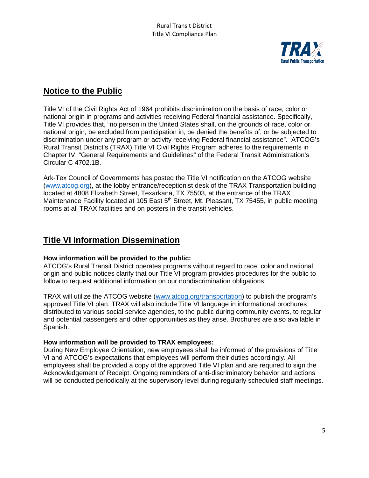

## **Notice to the Public**

Title VI of the Civil Rights Act of 1964 prohibits discrimination on the basis of race, color or national origin in programs and activities receiving Federal financial assistance. Specifically, Title VI provides that, "no person in the United States shall, on the grounds of race, color or national origin, be excluded from participation in, be denied the benefits of, or be subjected to discrimination under any program or activity receiving Federal financial assistance". ATCOG's Rural Transit District's (TRAX) Title VI Civil Rights Program adheres to the requirements in Chapter IV, "General Requirements and Guidelines" of the Federal Transit Administration's Circular C 4702.1B.

Ark-Tex Council of Governments has posted the Title VI notification on the ATCOG website [\(www.atcog.org\)](http://www.atcog.org/), at the lobby entrance/receptionist desk of the TRAX Transportation building located at 4808 Elizabeth Street, Texarkana, TX 75503, at the entrance of the TRAX Maintenance Facility located at 105 East 5<sup>th</sup> Street, Mt. Pleasant, TX 75455, in public meeting rooms at all TRAX facilities and on posters in the transit vehicles.

## **Title VI Information Dissemination**

#### **How information will be provided to the public:**

ATCOG's Rural Transit District operates programs without regard to race, color and national origin and public notices clarify that our Title VI program provides procedures for the public to follow to request additional information on our nondiscrimination obligations.

TRAX will utilize the ATCOG website [\(www.atcog.org/transportation\)](http://www.atcog.org/transportation) to publish the program's approved Title VI plan. TRAX will also include Title VI language in informational brochures distributed to various social service agencies, to the public during community events, to regular and potential passengers and other opportunities as they arise. Brochures are also available in Spanish.

#### **How information will be provided to TRAX employees:**

During New Employee Orientation, new employees shall be informed of the provisions of Title VI and ATCOG's expectations that employees will perform their duties accordingly. All employees shall be provided a copy of the approved Title VI plan and are required to sign the Acknowledgement of Receipt. Ongoing reminders of anti-discriminatory behavior and actions will be conducted periodically at the supervisory level during regularly scheduled staff meetings.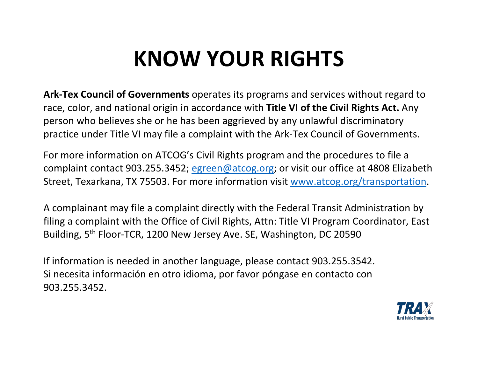# **KNOW YOUR RIGHTS**

**Ark-Tex Council of Governments** operates its programs and services without regard to race, color, and national origin in accordance with **Title VI of the Civil Rights Act.** Any person who believes she or he has been aggrieved by any unlawful discriminatory practice under Title VI may file a complaint with the Ark-Tex Council of Governments.

For more information on ATCOG's Civil Rights program and the procedures to file a complaint contact 903.255.3452; [egreen@atcog.org;](mailto:egreen@atcog.org) or visit our office at 4808 Elizabeth Street, Texarkana, TX 75503. For more information visit [www.atcog.org/transportation.](http://www.atcog.org/transportation)

A complainant may file a complaint directly with the Federal Transit Administration by filing a complaint with the Office of Civil Rights, Attn: Title VI Program Coordinator, East Building, 5th Floor-TCR, 1200 New Jersey Ave. SE, Washington, DC 20590

If information is needed in another language, please contact 903.255.3542. Si necesita información en otro idioma, por favor póngase en contacto con 903.255.3452.

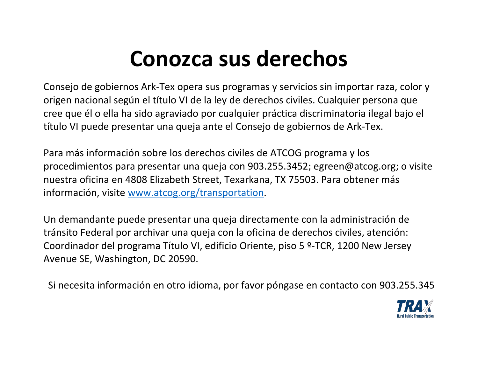# **Conozca sus derechos**

Consejo de gobiernos Ark-Tex opera sus programas y servicios sin importar raza, color y origen nacional según el título VI de la ley de derechos civiles. Cualquier persona que cree que él o ella ha sido agraviado por cualquier práctica discriminatoria ilegal bajo el título VI puede presentar una queja ante el Consejo de gobiernos de Ark-Tex.

Para más información sobre los derechos civiles de ATCOG programa y los procedimientos para presentar una queja con 903.255.3452; egreen@atcog.org; o visite nuestra oficina en 4808 Elizabeth Street, Texarkana, TX 75503. Para obtener más información, visite [www.atcog.org/transportation.](http://www.atcog.org/transportation)

Un demandante puede presentar una queja directamente con la administración de tránsito Federal por archivar una queja con la oficina de derechos civiles, atención: Coordinador del programa Título VI, edificio Oriente, piso 5 º-TCR, 1200 New Jersey Avenue SE, Washington, DC 20590.

Si necesita información en otro idioma, por favor póngase en contacto con 903.255.345

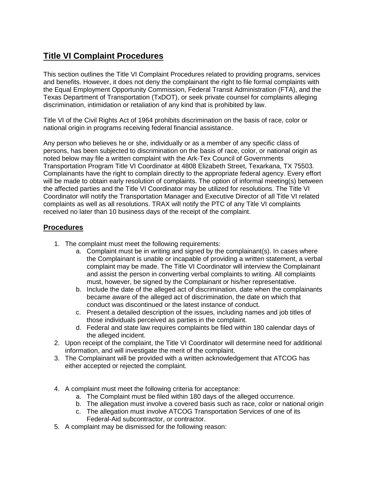## **Title VI Complaint Procedures**

This section outlines the Title VI Complaint Procedures related to providing programs, services and benefits. However, it does not deny the complainant the right to file formal complaints with the Equal Employment Opportunity Commission, Federal Transit Administration (FTA), and the Texas Department of Transportation (TxDOT), or seek private counsel for complaints alleging discrimination, intimidation or retaliation of any kind that is prohibited by law.

Title VI of the Civil Rights Act of 1964 prohibits discrimination on the basis of race, color or national origin in programs receiving federal financial assistance.

Any person who believes he or she, individually or as a member of any specific class of persons, has been subjected to discrimination on the basis of race, color, or national origin as noted below may file a written complaint with the Ark-Tex Council of Governments Transportation Program Title VI Coordinator at 4808 Elizabeth Street, Texarkana, TX 75503. Complainants have the right to complain directly to the appropriate federal agency. Every effort will be made to obtain early resolution of complaints. The option of informal meeting(s) between the affected parties and the Title VI Coordinator may be utilized for resolutions. The Title VI Coordinator will notify the Transportation Manager and Executive Director of all Title VI related complaints as well as all resolutions. TRAX will notify the PTC of any Title VI complaints received no later than 10 business days of the receipt of the complaint.

### **Procedures**

- 1. The complaint must meet the following requirements:
	- a. Complaint must be in writing and signed by the complainant(s). In cases where the Complainant is unable or incapable of providing a written statement, a verbal complaint may be made. The Title VI Coordinator will interview the Complainant and assist the person in converting verbal complaints to writing. All complaints must, however, be signed by the Complainant or his/her representative.
	- b. Include the date of the alleged act of discrimination, date when the complainants became aware of the alleged act of discrimination, the date on which that conduct was discontinued or the latest instance of conduct.
	- c. Present a detailed description of the issues, including names and job titles of those individuals perceived as parties in the complaint.
	- d. Federal and state law requires complaints be filed within 180 calendar days of the alleged incident.
- 2. Upon receipt of the complaint, the Title VI Coordinator will determine need for additional information, and will investigate the merit of the complaint.
- 3. The Complainant will be provided with a written acknowledgement that ATCOG has either accepted or rejected the complaint.
- 4. A complaint must meet the following criteria for acceptance:
	- a. The Complaint must be filed within 180 days of the alleged occurrence.
	- b. The allegation must involve a covered basis such as race, color or national origin
	- c. The allegation must involve ATCOG Transportation Services of one of its Federal-Aid subcontractor, or contractor.
- 5. A complaint may be dismissed for the following reason: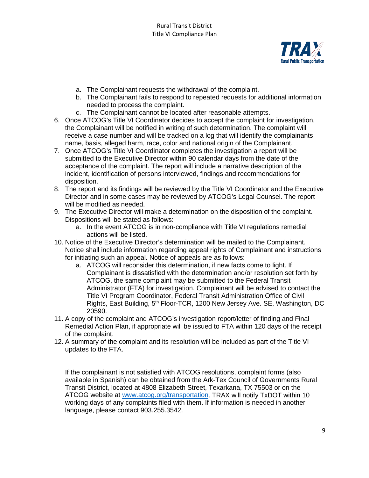

- a. The Complainant requests the withdrawal of the complaint.
- b. The Complainant fails to respond to repeated requests for additional information needed to process the complaint.
- c. The Complainant cannot be located after reasonable attempts.
- 6. Once ATCOG's Title VI Coordinator decides to accept the complaint for investigation, the Complainant will be notified in writing of such determination. The complaint will receive a case number and will be tracked on a log that will identify the complainants name, basis, alleged harm, race, color and national origin of the Complainant.
- 7. Once ATCOG's Title VI Coordinator completes the investigation a report will be submitted to the Executive Director within 90 calendar days from the date of the acceptance of the complaint. The report will include a narrative description of the incident, identification of persons interviewed, findings and recommendations for disposition.
- 8. The report and its findings will be reviewed by the Title VI Coordinator and the Executive Director and in some cases may be reviewed by ATCOG's Legal Counsel. The report will be modified as needed.
- 9. The Executive Director will make a determination on the disposition of the complaint. Dispositions will be stated as follows:
	- a. In the event ATCOG is in non-compliance with Title VI regulations remedial actions will be listed.
- 10. Notice of the Executive Director's determination will be mailed to the Complainant. Notice shall include information regarding appeal rights of Complainant and instructions for initiating such an appeal. Notice of appeals are as follows:
	- a. ATCOG will reconsider this determination, if new facts come to light. If Complainant is dissatisfied with the determination and/or resolution set forth by ATCOG, the same complaint may be submitted to the Federal Transit Administrator (FTA) for investigation. Complainant will be advised to contact the Title VI Program Coordinator, Federal Transit Administration Office of Civil Rights, East Building, 5<sup>th</sup> Floor-TCR, 1200 New Jersey Ave. SE, Washington, DC 20590.
- 11. A copy of the complaint and ATCOG's investigation report/letter of finding and Final Remedial Action Plan, if appropriate will be issued to FTA within 120 days of the receipt of the complaint.
- 12. A summary of the complaint and its resolution will be included as part of the Title VI updates to the FTA.

If the complainant is not satisfied with ATCOG resolutions, complaint forms (also available in Spanish) can be obtained from the Ark-Tex Council of Governments Rural Transit District, located at 4808 Elizabeth Street, Texarkana, TX 75503 or on the ATCOG website at [www.atcog.org/transportation.](http://www.atcog.org/transportation) TRAX will notify TxDOT within 10 working days of any complaints filed with them. If information is needed in another language, please contact 903.255.3542.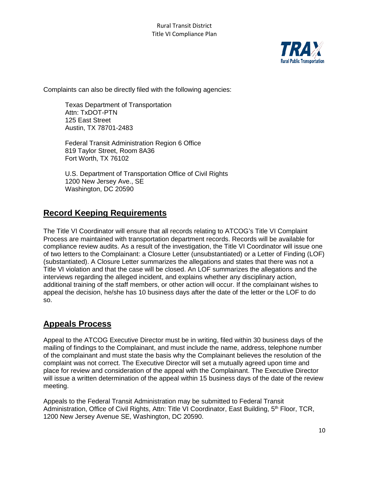

Complaints can also be directly filed with the following agencies:

Texas Department of Transportation Attn: TxDOT-PTN 125 East Street Austin, TX 78701-2483

Federal Transit Administration Region 6 Office 819 Taylor Street, Room 8A36 Fort Worth, TX 76102

U.S. Department of Transportation Office of Civil Rights 1200 New Jersey Ave., SE Washington, DC 20590

## **Record Keeping Requirements**

The Title VI Coordinator will ensure that all records relating to ATCOG's Title VI Complaint Process are maintained with transportation department records. Records will be available for compliance review audits. As a result of the investigation, the Title VI Coordinator will issue one of two letters to the Complainant: a Closure Letter (unsubstantiated) or a Letter of Finding (LOF) (substantiated). A Closure Letter summarizes the allegations and states that there was not a Title VI violation and that the case will be closed. An LOF summarizes the allegations and the interviews regarding the alleged incident, and explains whether any disciplinary action, additional training of the staff members, or other action will occur. If the complainant wishes to appeal the decision, he/she has 10 business days after the date of the letter or the LOF to do so.

## **Appeals Process**

Appeal to the ATCOG Executive Director must be in writing, filed within 30 business days of the mailing of findings to the Complainant, and must include the name, address, telephone number of the complainant and must state the basis why the Complainant believes the resolution of the complaint was not correct. The Executive Director will set a mutually agreed upon time and place for review and consideration of the appeal with the Complainant. The Executive Director will issue a written determination of the appeal within 15 business days of the date of the review meeting.

Appeals to the Federal Transit Administration may be submitted to Federal Transit Administration, Office of Civil Rights, Attn: Title VI Coordinator, East Building, 5<sup>th</sup> Floor, TCR, 1200 New Jersey Avenue SE, Washington, DC 20590.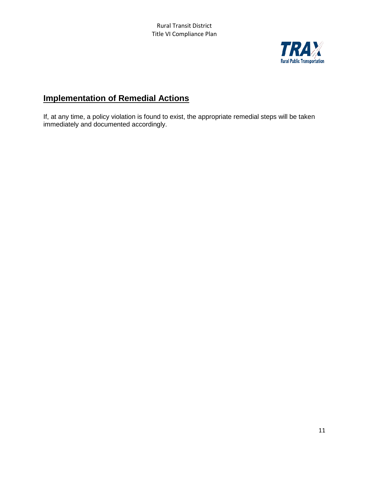

## **Implementation of Remedial Actions**

If, at any time, a policy violation is found to exist, the appropriate remedial steps will be taken immediately and documented accordingly.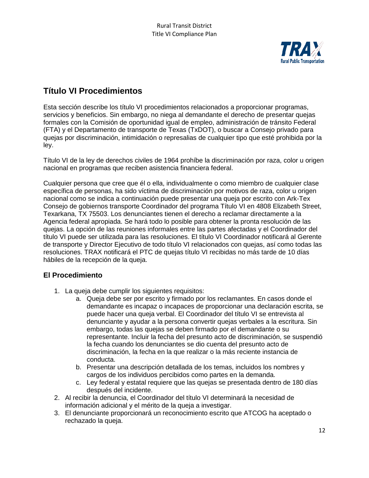

## **Título VI Procedimientos**

Esta sección describe los título VI procedimientos relacionados a proporcionar programas, servicios y beneficios. Sin embargo, no niega al demandante el derecho de presentar quejas formales con la Comisión de oportunidad igual de empleo, administración de tránsito Federal (FTA) y el Departamento de transporte de Texas (TxDOT), o buscar a Consejo privado para quejas por discriminación, intimidación o represalias de cualquier tipo que esté prohibida por la ley.

Título VI de la ley de derechos civiles de 1964 prohíbe la discriminación por raza, color u origen nacional en programas que reciben asistencia financiera federal.

Cualquier persona que cree que él o ella, individualmente o como miembro de cualquier clase específica de personas, ha sido víctima de discriminación por motivos de raza, color u origen nacional como se indica a continuación puede presentar una queja por escrito con Ark-Tex Consejo de gobiernos transporte Coordinador del programa Título VI en 4808 Elizabeth Street, Texarkana, TX 75503. Los denunciantes tienen el derecho a reclamar directamente a la Agencia federal apropiada. Se hará todo lo posible para obtener la pronta resolución de las quejas. La opción de las reuniones informales entre las partes afectadas y el Coordinador del título VI puede ser utilizada para las resoluciones. El título VI Coordinador notificará al Gerente de transporte y Director Ejecutivo de todo título VI relacionados con quejas, así como todas las resoluciones. TRAX notificará el PTC de quejas título VI recibidas no más tarde de 10 días hábiles de la recepción de la queja.

### **El Procedimiento**

- 1. La queja debe cumplir los siguientes requisitos:
	- a. Queja debe ser por escrito y firmado por los reclamantes. En casos donde el demandante es incapaz o incapaces de proporcionar una declaración escrita, se puede hacer una queja verbal. El Coordinador del título VI se entrevista al denunciante y ayudar a la persona convertir quejas verbales a la escritura. Sin embargo, todas las quejas se deben firmado por el demandante o su representante. Incluir la fecha del presunto acto de discriminación, se suspendió la fecha cuando los denunciantes se dio cuenta del presunto acto de discriminación, la fecha en la que realizar o la más reciente instancia de conducta.
	- b. Presentar una descripción detallada de los temas, incluidos los nombres y cargos de los individuos percibidos como partes en la demanda.
	- c. Ley federal y estatal requiere que las quejas se presentada dentro de 180 días después del incidente.
- 2. Al recibir la denuncia, el Coordinador del título VI determinará la necesidad de información adicional y el mérito de la queja a investigar.
- 3. El denunciante proporcionará un reconocimiento escrito que ATCOG ha aceptado o rechazado la queja.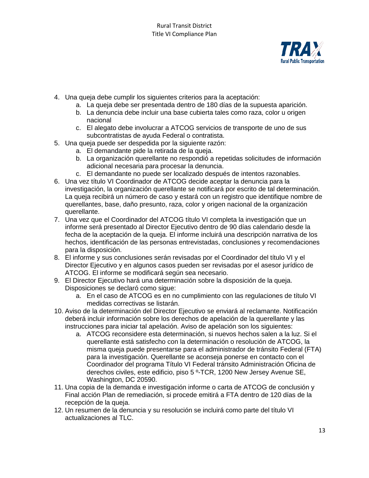

- 4. Una queja debe cumplir los siguientes criterios para la aceptación:
	- a. La queja debe ser presentada dentro de 180 días de la supuesta aparición.
	- b. La denuncia debe incluir una base cubierta tales como raza, color u origen nacional
	- c. El alegato debe involucrar a ATCOG servicios de transporte de uno de sus subcontratistas de ayuda Federal o contratista.
- 5. Una queja puede ser despedida por la siguiente razón:
	- a. El demandante pide la retirada de la queja.
	- b. La organización querellante no respondió a repetidas solicitudes de información adicional necesaria para procesar la denuncia.
	- c. El demandante no puede ser localizado después de intentos razonables.
- 6. Una vez título VI Coordinador de ATCOG decide aceptar la denuncia para la investigación, la organización querellante se notificará por escrito de tal determinación. La queja recibirá un número de caso y estará con un registro que identifique nombre de querellantes, base, daño presunto, raza, color y origen nacional de la organización querellante.
- 7. Una vez que el Coordinador del ATCOG título VI completa la investigación que un informe será presentado al Director Ejecutivo dentro de 90 días calendario desde la fecha de la aceptación de la queja. El informe incluirá una descripción narrativa de los hechos, identificación de las personas entrevistadas, conclusiones y recomendaciones para la disposición.
- 8. El informe y sus conclusiones serán revisadas por el Coordinador del título VI y el Director Ejecutivo y en algunos casos pueden ser revisadas por el asesor jurídico de ATCOG. El informe se modificará según sea necesario.
- 9. El Director Ejecutivo hará una determinación sobre la disposición de la queja. Disposiciones se declaró como sigue:
	- a. En el caso de ATCOG es en no cumplimiento con las regulaciones de título VI medidas correctivas se listarán.
- 10. Aviso de la determinación del Director Ejecutivo se enviará al reclamante. Notificación deberá incluir información sobre los derechos de apelación de la querellante y las instrucciones para iniciar tal apelación. Aviso de apelación son los siguientes:
	- a. ATCOG reconsidere esta determinación, si nuevos hechos salen a la luz. Si el querellante está satisfecho con la determinación o resolución de ATCOG, la misma queja puede presentarse para el administrador de tránsito Federal (FTA) para la investigación. Querellante se aconseja ponerse en contacto con el Coordinador del programa Título VI Federal tránsito Administración Oficina de derechos civiles, este edificio, piso 5 º-TCR, 1200 New Jersey Avenue SE, Washington, DC 20590.
- 11. Una copia de la demanda e investigación informe o carta de ATCOG de conclusión y Final acción Plan de remediación, si procede emitirá a FTA dentro de 120 días de la recepción de la queja.
- 12. Un resumen de la denuncia y su resolución se incluirá como parte del título VI actualizaciones al TLC.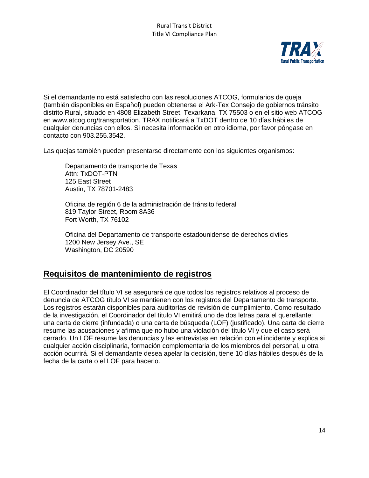

Si el demandante no está satisfecho con las resoluciones ATCOG, formularios de queja (también disponibles en Español) pueden obtenerse el Ark-Tex Consejo de gobiernos tránsito distrito Rural, situado en 4808 Elizabeth Street, Texarkana, TX 75503 o en el sitio web ATCOG en www.atcog.org/transportation. TRAX notificará a TxDOT dentro de 10 días hábiles de cualquier denuncias con ellos. Si necesita información en otro idioma, por favor póngase en contacto con 903.255.3542.

Las quejas también pueden presentarse directamente con los siguientes organismos:

Departamento de transporte de Texas Attn: TxDOT-PTN 125 East Street Austin, TX 78701-2483

Oficina de región 6 de la administración de tránsito federal 819 Taylor Street, Room 8A36 Fort Worth, TX 76102

Oficina del Departamento de transporte estadounidense de derechos civiles 1200 New Jersey Ave., SE Washington, DC 20590

## **Requisitos de mantenimiento de registros**

El Coordinador del título VI se asegurará de que todos los registros relativos al proceso de denuncia de ATCOG título VI se mantienen con los registros del Departamento de transporte. Los registros estarán disponibles para auditorías de revisión de cumplimiento. Como resultado de la investigación, el Coordinador del título VI emitirá uno de dos letras para el querellante: una carta de cierre (infundada) o una carta de búsqueda (LOF) (justificado). Una carta de cierre resume las acusaciones y afirma que no hubo una violación del título VI y que el caso será cerrado. Un LOF resume las denuncias y las entrevistas en relación con el incidente y explica si cualquier acción disciplinaria, formación complementaria de los miembros del personal, u otra acción ocurrirá. Si el demandante desea apelar la decisión, tiene 10 días hábiles después de la fecha de la carta o el LOF para hacerlo.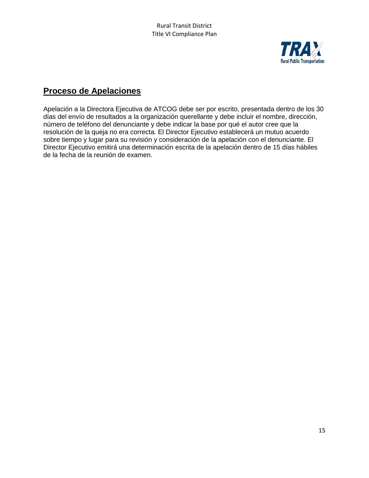

## **Proceso de Apelaciones**

Apelación a la Directora Ejecutiva de ATCOG debe ser por escrito, presentada dentro de los 30 días del envío de resultados a la organización querellante y debe incluir el nombre, dirección, número de teléfono del denunciante y debe indicar la base por qué el autor cree que la resolución de la queja no era correcta. El Director Ejecutivo establecerá un mutuo acuerdo sobre tiempo y lugar para su revisión y consideración de la apelación con el denunciante. El Director Ejecutivo emitirá una determinación escrita de la apelación dentro de 15 días hábiles de la fecha de la reunión de examen.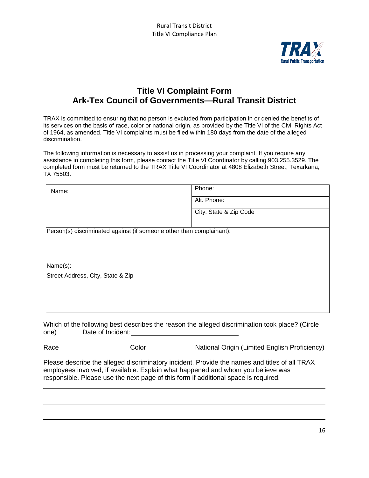

## **Title VI Complaint Form Ark-Tex Council of Governments—Rural Transit District**

TRAX is committed to ensuring that no person is excluded from participation in or denied the benefits of its services on the basis of race, color or national origin, as provided by the Title VI of the Civil Rights Act of 1964, as amended. Title VI complaints must be filed within 180 days from the date of the alleged discrimination.

The following information is necessary to assist us in processing your complaint. If you require any assistance in completing this form, please contact the Title VI Coordinator by calling 903.255.3529. The completed form must be returned to the TRAX Title VI Coordinator at 4808 Elizabeth Street, Texarkana, TX 75503.

| Name:                                                                | Phone:                 |  |  |  |  |
|----------------------------------------------------------------------|------------------------|--|--|--|--|
|                                                                      | Alt. Phone:            |  |  |  |  |
|                                                                      | City, State & Zip Code |  |  |  |  |
|                                                                      |                        |  |  |  |  |
| Person(s) discriminated against (if someone other than complainant): |                        |  |  |  |  |
|                                                                      |                        |  |  |  |  |
|                                                                      |                        |  |  |  |  |
| Name(s):                                                             |                        |  |  |  |  |
| Street Address, City, State & Zip                                    |                        |  |  |  |  |
|                                                                      |                        |  |  |  |  |
|                                                                      |                        |  |  |  |  |
|                                                                      |                        |  |  |  |  |

Which of the following best describes the reason the alleged discrimination took place? (Circle one) Date of Incident: Demonstrational Date of Incident:

Race Color Color National Origin (Limited English Proficiency)

Please describe the alleged discriminatory incident. Provide the names and titles of all TRAX employees involved, if available. Explain what happened and whom you believe was responsible. Please use the next page of this form if additional space is required.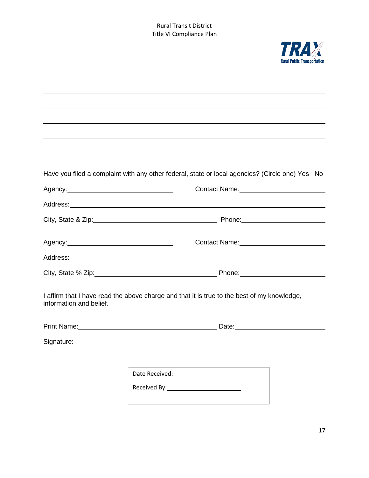

|                         | Have you filed a complaint with any other federal, state or local agencies? (Circle one) Yes No |
|-------------------------|-------------------------------------------------------------------------------------------------|
|                         |                                                                                                 |
|                         |                                                                                                 |
|                         |                                                                                                 |
|                         |                                                                                                 |
|                         |                                                                                                 |
|                         |                                                                                                 |
| information and belief. | I affirm that I have read the above charge and that it is true to the best of my knowledge,     |

| <b>Print Name:</b> | Date: |
|--------------------|-------|
|                    |       |

Signature: Manual Manual Manual Manual Manual Manual Manual Manual Manual Manual Manual Manual Manual Manual

| Date Received: |  |
|----------------|--|
| Received By:   |  |
|                |  |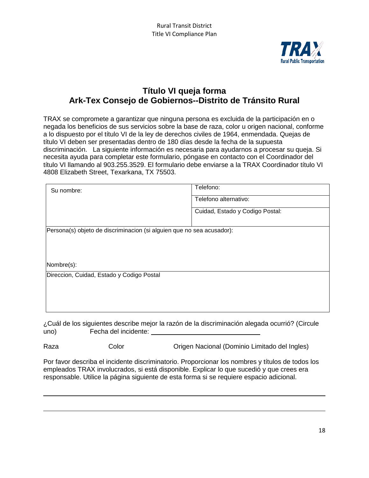

## **Título VI queja forma Ark-Tex Consejo de Gobiernos--Distrito de Tránsito Rural**

TRAX se compromete a garantizar que ninguna persona es excluida de la participación en o negada los beneficios de sus servicios sobre la base de raza, color u origen nacional, conforme a lo dispuesto por el título VI de la ley de derechos civiles de 1964, enmendada. Quejas de título VI deben ser presentadas dentro de 180 días desde la fecha de la supuesta discriminación. La siguiente información es necesaria para ayudarnos a procesar su queja. Si necesita ayuda para completar este formulario, póngase en contacto con el Coordinador del título VI llamando al 903.255.3529. El formulario debe enviarse a la TRAX Coordinador título VI 4808 Elizabeth Street, Texarkana, TX 75503.

| Su nombre:                                                            | Telefono:                       |  |  |  |  |
|-----------------------------------------------------------------------|---------------------------------|--|--|--|--|
|                                                                       | Telefono alternativo:           |  |  |  |  |
|                                                                       | Cuidad, Estado y Codigo Postal: |  |  |  |  |
|                                                                       |                                 |  |  |  |  |
| Persona(s) objeto de discriminacion (si alguien que no sea acusador): |                                 |  |  |  |  |
|                                                                       |                                 |  |  |  |  |
|                                                                       |                                 |  |  |  |  |
| Nombre(s):                                                            |                                 |  |  |  |  |
| Direccion, Cuidad, Estado y Codigo Postal                             |                                 |  |  |  |  |
|                                                                       |                                 |  |  |  |  |
|                                                                       |                                 |  |  |  |  |
|                                                                       |                                 |  |  |  |  |

¿Cuál de los siguientes describe mejor la razón de la discriminación alegada ocurrió? (Circule uno) Fecha del incidente:

Raza Color Color Conigen Nacional (Dominio Limitado del Ingles)

Por favor describa el incidente discriminatorio. Proporcionar los nombres y títulos de todos los empleados TRAX involucrados, si está disponible. Explicar lo que sucedió y que crees era responsable. Utilice la página siguiente de esta forma si se requiere espacio adicional.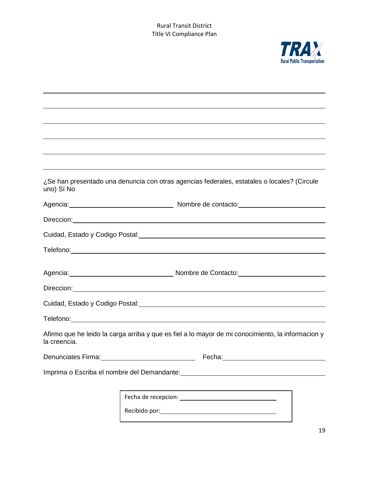

| uno) Sí No                                  | ¿Se han presentado una denuncia con otras agencias federales, estatales o locales? (Circule                                                                                                                                          |  |  |  |  |
|---------------------------------------------|--------------------------------------------------------------------------------------------------------------------------------------------------------------------------------------------------------------------------------------|--|--|--|--|
|                                             | Agencia: <u>contract and a series are allegened</u> and a series of Nombre de contacto:                                                                                                                                              |  |  |  |  |
|                                             |                                                                                                                                                                                                                                      |  |  |  |  |
|                                             | Cuidad, Estado y Codigo Postal:<br>Cuidad, Estado y Codigo Postal:                                                                                                                                                                   |  |  |  |  |
|                                             |                                                                                                                                                                                                                                      |  |  |  |  |
|                                             | Agencia: <u>Communication and Contactors and Contactors and Contactors and Contactors and Contactors and Contactors and Contactors and Contactors and Contactors and Contactors and Contactors and Contactors and Contactors and</u> |  |  |  |  |
|                                             | Direccion: <u>contract and contract and contract and contract and contract and contract and contract and contract and contract and contract and contract and contract and contract and contract and contract and contract and co</u> |  |  |  |  |
|                                             |                                                                                                                                                                                                                                      |  |  |  |  |
|                                             |                                                                                                                                                                                                                                      |  |  |  |  |
| la creencia.                                | Afirmo que he leido la carga arriba y que es fiel a lo mayor de mi conocimiento, la informacion y                                                                                                                                    |  |  |  |  |
|                                             |                                                                                                                                                                                                                                      |  |  |  |  |
| Imprima o Escriba el nombre del Demandante: |                                                                                                                                                                                                                                      |  |  |  |  |
|                                             |                                                                                                                                                                                                                                      |  |  |  |  |
|                                             |                                                                                                                                                                                                                                      |  |  |  |  |
|                                             |                                                                                                                                                                                                                                      |  |  |  |  |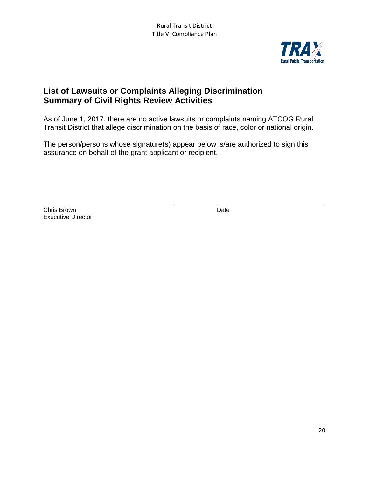

## **List of Lawsuits or Complaints Alleging Discrimination Summary of Civil Rights Review Activities**

As of June 1, 2017, there are no active lawsuits or complaints naming ATCOG Rural Transit District that allege discrimination on the basis of race, color or national origin.

The person/persons whose signature(s) appear below is/are authorized to sign this assurance on behalf of the grant applicant or recipient.

**Chris Brown** Date **Date** Executive Director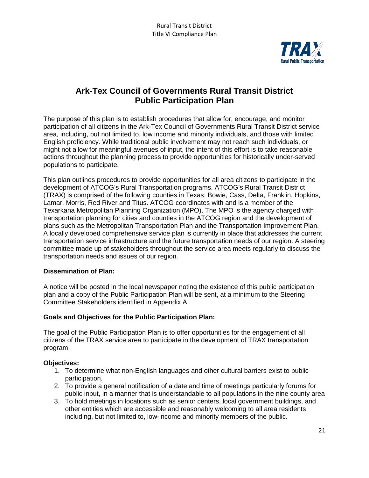

## **Ark-Tex Council of Governments Rural Transit District Public Participation Plan**

The purpose of this plan is to establish procedures that allow for, encourage, and monitor participation of all citizens in the Ark-Tex Council of Governments Rural Transit District service area, including, but not limited to, low income and minority individuals, and those with limited English proficiency. While traditional public involvement may not reach such individuals, or might not allow for meaningful avenues of input, the intent of this effort is to take reasonable actions throughout the planning process to provide opportunities for historically under-served populations to participate.

This plan outlines procedures to provide opportunities for all area citizens to participate in the development of ATCOG's Rural Transportation programs. ATCOG's Rural Transit District (TRAX) is comprised of the following counties in Texas: Bowie, Cass, Delta, Franklin, Hopkins, Lamar, Morris, Red River and Titus. ATCOG coordinates with and is a member of the Texarkana Metropolitan Planning Organization (MPO). The MPO is the agency charged with transportation planning for cities and counties in the ATCOG region and the development of plans such as the Metropolitan Transportation Plan and the Transportation Improvement Plan. A locally developed comprehensive service plan is currently in place that addresses the current transportation service infrastructure and the future transportation needs of our region. A steering committee made up of stakeholders throughout the service area meets regularly to discuss the transportation needs and issues of our region.

#### **Dissemination of Plan:**

A notice will be posted in the local newspaper noting the existence of this public participation plan and a copy of the Public Participation Plan will be sent, at a minimum to the Steering Committee Stakeholders identified in Appendix A.

#### **Goals and Objectives for the Public Participation Plan:**

The goal of the Public Participation Plan is to offer opportunities for the engagement of all citizens of the TRAX service area to participate in the development of TRAX transportation program.

#### **Objectives:**

- 1. To determine what non-English languages and other cultural barriers exist to public participation.
- 2. To provide a general notification of a date and time of meetings particularly forums for public input, in a manner that is understandable to all populations in the nine county area
- 3. To hold meetings in locations such as senior centers, local government buildings, and other entities which are accessible and reasonably welcoming to all area residents including, but not limited to, low-income and minority members of the public.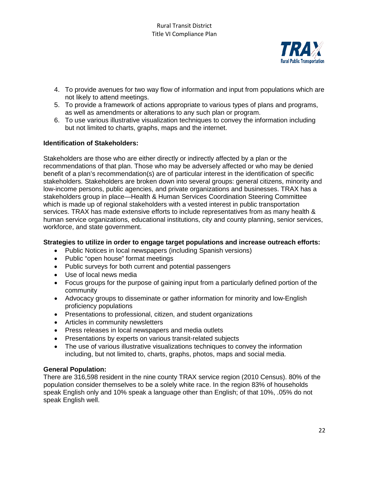

- 4. To provide avenues for two way flow of information and input from populations which are not likely to attend meetings.
- 5. To provide a framework of actions appropriate to various types of plans and programs, as well as amendments or alterations to any such plan or program.
- 6. To use various illustrative visualization techniques to convey the information including but not limited to charts, graphs, maps and the internet.

#### **Identification of Stakeholders:**

Stakeholders are those who are either directly or indirectly affected by a plan or the recommendations of that plan. Those who may be adversely affected or who may be denied benefit of a plan's recommendation(s) are of particular interest in the identification of specific stakeholders. Stakeholders are broken down into several groups: general citizens, minority and low-income persons, public agencies, and private organizations and businesses. TRAX has a stakeholders group in place—Health & Human Services Coordination Steering Committee which is made up of regional stakeholders with a vested interest in public transportation services. TRAX has made extensive efforts to include representatives from as many health & human service organizations, educational institutions, city and county planning, senior services, workforce, and state government.

#### **Strategies to utilize in order to engage target populations and increase outreach efforts:**

- Public Notices in local newspapers (including Spanish versions)
- Public "open house" format meetings
- Public surveys for both current and potential passengers
- Use of local news media
- Focus groups for the purpose of gaining input from a particularly defined portion of the community
- Advocacy groups to disseminate or gather information for minority and low-English proficiency populations
- Presentations to professional, citizen, and student organizations
- Articles in community newsletters
- Press releases in local newspapers and media outlets
- Presentations by experts on various transit-related subjects
- The use of various illustrative visualizations techniques to convey the information including, but not limited to, charts, graphs, photos, maps and social media.

#### **General Population:**

There are 316,598 resident in the nine county TRAX service region (2010 Census). 80% of the population consider themselves to be a solely white race. In the region 83% of households speak English only and 10% speak a language other than English; of that 10%, .05% do not speak English well.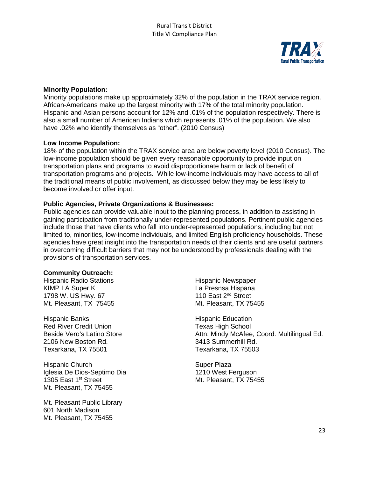

#### **Minority Population:**

Minority populations make up approximately 32% of the population in the TRAX service region. African-Americans make up the largest minority with 17% of the total minority population. Hispanic and Asian persons account for 12% and .01% of the population respectively. There is also a small number of American Indians which represents .01% of the population. We also have .02% who identify themselves as "other". (2010 Census)

#### **Low Income Population:**

18% of the population within the TRAX service area are below poverty level (2010 Census). The low-income population should be given every reasonable opportunity to provide input on transportation plans and programs to avoid disproportionate harm or lack of benefit of transportation programs and projects. While low-income individuals may have access to all of the traditional means of public involvement, as discussed below they may be less likely to become involved or offer input.

#### **Public Agencies, Private Organizations & Businesses:**

Public agencies can provide valuable input to the planning process, in addition to assisting in gaining participation from traditionally under-represented populations. Pertinent public agencies include those that have clients who fall into under-represented populations, including but not limited to, minorities, low-income individuals, and limited English proficiency households. These agencies have great insight into the transportation needs of their clients and are useful partners in overcoming difficult barriers that may not be understood by professionals dealing with the provisions of transportation services.

#### **Community Outreach:**

Hispanic Radio Stations **Hispanic Newspaper** KIMP LA Super K<br>1798 W. US Hwy. 67 110 East 2<sup>nd</sup> Street 1798 W. US Hwy. 67 Mt. Pleasant, TX 75455 Mt. Pleasant, TX 75455

Hispanic Banks **Hispanic Education** Red River Credit Union Texas High School 2106 New Boston Rd. 3413 Summerhill Rd. Texarkana, TX 75501 Texarkana, TX 75503

Hispanic Church<br>
Iglesia De Dios-Septimo Dia<br>
1210 West Ferguson Iglesia De Dios-Septimo Dia<br>1305 East 1<sup>st</sup> Street Mt. Pleasant, TX 75455

Mt. Pleasant Public Library 601 North Madison Mt. Pleasant, TX 75455

Beside Vero's Latino Store **Attn: Mindy McAfee, Coord. Multilingual Ed.** Attn: Mindy McAfee, Coord. Multilingual Ed.

Mt. Pleasant, TX 75455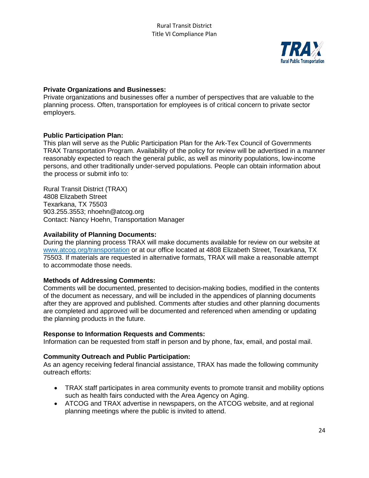

#### **Private Organizations and Businesses:**

Private organizations and businesses offer a number of perspectives that are valuable to the planning process. Often, transportation for employees is of critical concern to private sector employers.

#### **Public Participation Plan:**

This plan will serve as the Public Participation Plan for the Ark-Tex Council of Governments TRAX Transportation Program. Availability of the policy for review will be advertised in a manner reasonably expected to reach the general public, as well as minority populations, low-income persons, and other traditionally under-served populations. People can obtain information about the process or submit info to:

Rural Transit District (TRAX) 4808 Elizabeth Street Texarkana, TX 75503 903.255.3553; nhoehn@atcog.org Contact: Nancy Hoehn, Transportation Manager

#### **Availability of Planning Documents:**

During the planning process TRAX will make documents available for review on our website at [www.atcog.org/transportation](http://www.atcog.org/transportation) or at our office located at 4808 Elizabeth Street, Texarkana, TX 75503. If materials are requested in alternative formats, TRAX will make a reasonable attempt to accommodate those needs.

#### **Methods of Addressing Comments:**

Comments will be documented, presented to decision-making bodies, modified in the contents of the document as necessary, and will be included in the appendices of planning documents after they are approved and published. Comments after studies and other planning documents are completed and approved will be documented and referenced when amending or updating the planning products in the future.

#### **Response to Information Requests and Comments:**

Information can be requested from staff in person and by phone, fax, email, and postal mail.

#### **Community Outreach and Public Participation:**

As an agency receiving federal financial assistance, TRAX has made the following community outreach efforts:

- TRAX staff participates in area community events to promote transit and mobility options such as health fairs conducted with the Area Agency on Aging.
- ATCOG and TRAX advertise in newspapers, on the ATCOG website, and at regional planning meetings where the public is invited to attend.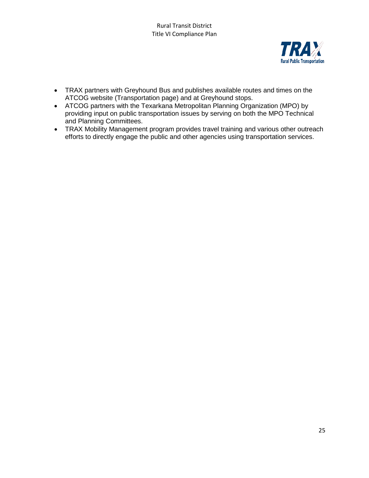

- TRAX partners with Greyhound Bus and publishes available routes and times on the ATCOG website (Transportation page) and at Greyhound stops.
- ATCOG partners with the Texarkana Metropolitan Planning Organization (MPO) by providing input on public transportation issues by serving on both the MPO Technical and Planning Committees.
- TRAX Mobility Management program provides travel training and various other outreach efforts to directly engage the public and other agencies using transportation services.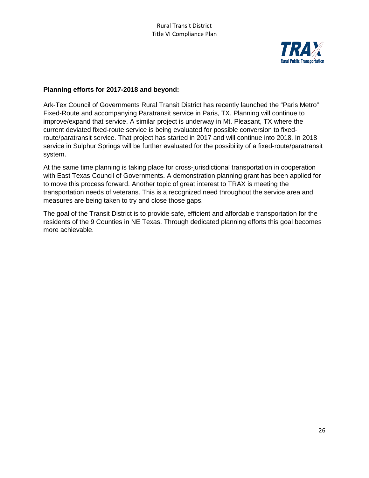

#### **Planning efforts for 2017-2018 and beyond:**

Ark-Tex Council of Governments Rural Transit District has recently launched the "Paris Metro" Fixed-Route and accompanying Paratransit service in Paris, TX. Planning will continue to improve/expand that service. A similar project is underway in Mt. Pleasant, TX where the current deviated fixed-route service is being evaluated for possible conversion to fixedroute/paratransit service. That project has started in 2017 and will continue into 2018. In 2018 service in Sulphur Springs will be further evaluated for the possibility of a fixed-route/paratransit system.

At the same time planning is taking place for cross-jurisdictional transportation in cooperation with East Texas Council of Governments. A demonstration planning grant has been applied for to move this process forward. Another topic of great interest to TRAX is meeting the transportation needs of veterans. This is a recognized need throughout the service area and measures are being taken to try and close those gaps.

The goal of the Transit District is to provide safe, efficient and affordable transportation for the residents of the 9 Counties in NE Texas. Through dedicated planning efforts this goal becomes more achievable.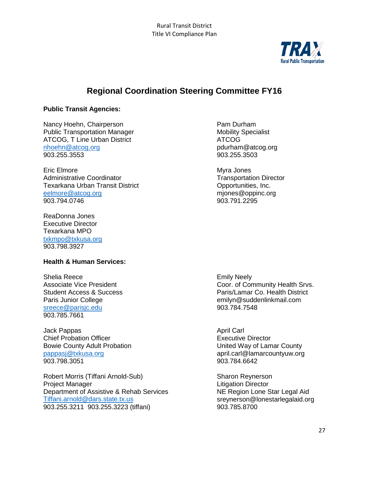

## **Regional Coordination Steering Committee FY16**

#### **Public Transit Agencies:**

Nancy Hoehn, Chairperson **Pam Durham** Public Transportation Manager Mobility Specialist ATCOG, T Line Urban District **ATCOG** [nhoehn@atcog.org](mailto:nhoehn@atcog.org) pdurham@atcog.org

Eric Elmore **Myra Jones** Myra Jones Administrative Coordinator **Transportation Director** Transportation Director Texarkana Urban Transit District Opportunities, Inc. [eelmore@atcog.org](mailto:eelmore@atcog.org) miones@oppinc.org miones@oppinc.org 903.794.0746 903.791.2295

ReaDonna Jones Executive Director Texarkana MPO [txkmpo@txkusa.org](mailto:txkmpo@txkusa.org) 903.798.3927

#### **Health & Human Services:**

Shelia Reece<br>
Associate Vice President<br>
Associate Vice President<br>
Coor. of Con [sreece@parisjc.edu](mailto:sreece@parisjc.edu) 903.784.7548 903.785.7661

Jack Pappas **April Carl** Chief Probation Officer<br>
Bowie County Adult Probation<br>
Executive Director<br>
United Way of Lamar County Bowie County Adult Probation<br>pappasi@txkusa.org 903.798.3051 903.784.6642

Robert Morris (Tiffani Arnold-Sub)<br>
Project Manager<br>
Litigation Director Department of Assistive & Rehab Services<br>Tiffani.arnold@dars.state.tx.us 903.255.3211 903.255.3223 (tiffani) 903.785.8700

903.255.3503

Coor. of Community Health Srvs. Student Access & Success **A** Success **Paris/Lamar Co. Health District** Paris Junior College emilyn@suddenlinkmail.com

april.carl@lamarcountyuw.org

Litigation Director<br>NE Region Lone Star Legal Aid sreynerson@lonestarlegalaid.org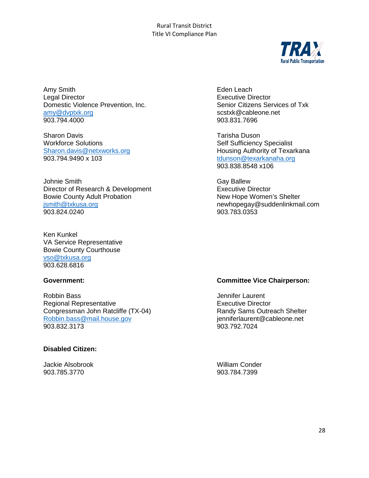

Amy Smith **Eden** Leach Legal Director Executive Director Domestic Violence Prevention, Inc. Senior Citizens Services of Txk [amy@dvptxk.org](mailto:amy@dvptxk.org) scstxk@cableone.net

Sharon Davis<br>
Workforce Solutions<br>
Workforce Solutions<br>
Tarisha Duson<br>
Self Sufficiency Workforce Solutions<br>
Self Sufficiency Specialist<br>
Sharon.davis@netxworks.org<br>
Sharon.davis@netxworks.org<br>
Sharon.davis@netxworks.org 903.794.9490 x 103 [tdunson@texarkanaha.org](mailto:tdunson@texarkanaha.org)

Johnie Smith<br>Director of Research & Development<br>
Gay Ballew<br>
Executive Director Director of Research & Development<br>
Bowie County Adult Probation<br>
New Hope Women's Shelter Bowie County Adult Probation [jsmith@txkusa.org](mailto:jsmith@txkusa.org) newhopegay@suddenlinkmail.com 903.824.0240

Ken Kunkel VA Service Representative Bowie County Courthouse [vso@txkusa.org](mailto:vso@txkusa.org) 903.628.6816

Robbin Bass **Internal and American** Secretary According Secretary According Secretary According Secretary According Secretary According Secretary According Secretary According Secretary According Secretary According Secret Regional Representative<br>
Congressman John Ratcliffe (TX-04) 
Fxecutive Director

Executive Director

Executive Director

Congressman John Ratcliffe (TX-04) Congressman John Ratcliffe (TX-04) Randy Sams Outreach Shelter<br>
Robbin.bass@mail.house.gov entitled ienniferlaurent@cableone.net [Robbin.bass@mail.house.gov](mailto:Robbin.bass@mail.house.gov) interlaurent interlaurent en and the set of the set of the set of the set of the set of the set of the set of the set of the set of the set of the set of the set of the set of the set of the set 903.832.3173

#### **Disabled Citizen:**

Jackie Alsobrook William Conder 903.785.3770 903.784.7399

903.831.7696

Housing Authority of Texarkana 903.838.8548 x106

#### **Government: Committee Vice Chairperson:**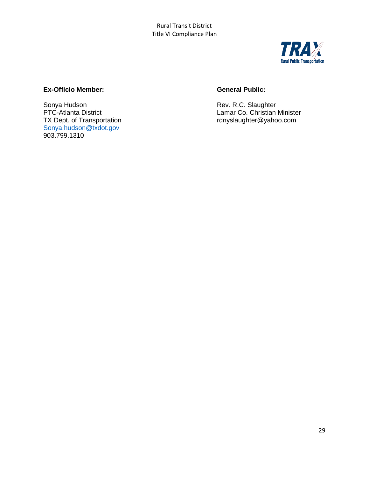

### **Ex-Officio Member: General Public:**

Sonya Hudson **Rev. R.C. Slaughter**<br>
PTC-Atlanta District **REV. R.C. Slaughter**<br>
Lamar Co. Christian [Sonya.hudson@txdot.gov](mailto:Sonya.hudson@txdot.gov) 903.799.1310

PTC-Atlanta District<br>
TX Dept. of Transportation<br>
TX Dept. of Transportation<br>
COLORED PRESS TO A Lamar Co. Christian Minister<br>
COLORED PRESS TO A Lamar Co. Christian Minister rdnyslaughter@yahoo.com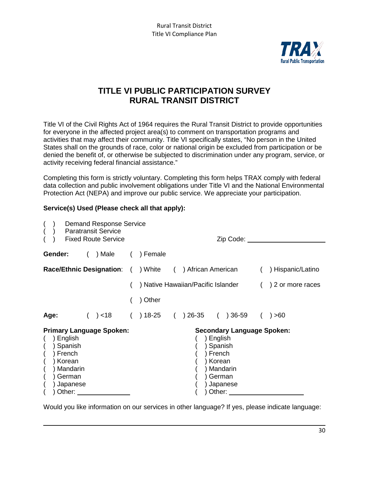

## **TITLE VI PUBLIC PARTICIPATION SURVEY RURAL TRANSIT DISTRICT**

Title VI of the Civil Rights Act of 1964 requires the Rural Transit District to provide opportunities for everyone in the affected project area(s) to comment on transportation programs and activities that may affect their community. Title VI specifically states, "No person in the United States shall on the grounds of race, color or national origin be excluded from participation or be denied the benefit of, or otherwise be subjected to discrimination under any program, service, or activity receiving federal financial assistance."

Completing this form is strictly voluntary. Completing this form helps TRAX comply with federal data collection and public involvement obligations under Title VI and the National Environmental Protection Act (NEPA) and improve our public service. We appreciate your participation.

#### **Service(s) Used (Please check all that apply):**

|         |                                                                                      | <b>Demand Response Service</b><br><b>Paratransit Service</b><br><b>Fixed Route Service</b> |                                                                |  |                                                              | Zip Code:                                                 |                   |
|---------|--------------------------------------------------------------------------------------|--------------------------------------------------------------------------------------------|----------------------------------------------------------------|--|--------------------------------------------------------------|-----------------------------------------------------------|-------------------|
| Gender: |                                                                                      | ) Male (                                                                                   | ) Female                                                       |  |                                                              |                                                           |                   |
|         |                                                                                      |                                                                                            | <b>Race/Ethnic Designation:</b> ( ) White ( ) African American |  |                                                              |                                                           | ) Hispanic/Latino |
|         |                                                                                      |                                                                                            |                                                                |  |                                                              | ) Native Hawaiian/Pacific Islander                        | ) 2 or more races |
|         |                                                                                      |                                                                                            | Other                                                          |  |                                                              |                                                           |                   |
| Age:    |                                                                                      | ( ) < 18                                                                                   | $( ) 18-25 ( ) 26-35 ( ) 36-59$                                |  |                                                              |                                                           | ) > 60            |
|         | ) English<br>Spanish<br>French<br>Korean<br>Mandarin<br>German<br>Japanese<br>Other: | <b>Primary Language Spoken:</b>                                                            |                                                                |  | ) English<br>Spanish<br>French<br>Korean<br>German<br>Other: | <b>Secondary Language Spoken:</b><br>Mandarin<br>Japanese |                   |

Would you like information on our services in other language? If yes, please indicate language: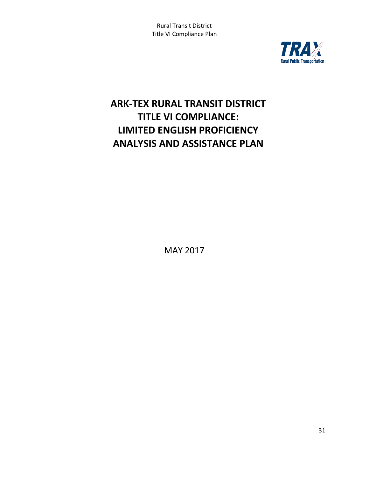

## **ARK-TEX RURAL TRANSIT DISTRICT TITLE VI COMPLIANCE: LIMITED ENGLISH PROFICIENCY ANALYSIS AND ASSISTANCE PLAN**

MAY 2017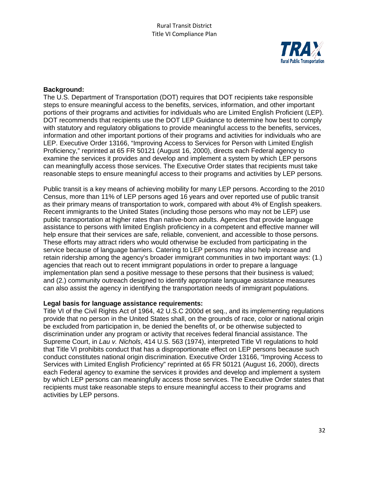

#### **Background:**

The U.S. Department of Transportation (DOT) requires that DOT recipients take responsible steps to ensure meaningful access to the benefits, services, information, and other important portions of their programs and activities for individuals who are Limited English Proficient (LEP). DOT recommends that recipients use the DOT LEP Guidance to determine how best to comply with statutory and regulatory obligations to provide meaningful access to the benefits, services, information and other important portions of their programs and activities for individuals who are LEP. Executive Order 13166, "Improving Access to Services for Person with Limited English Proficiency," reprinted at 65 FR 50121 (August 16, 2000), directs each Federal agency to examine the services it provides and develop and implement a system by which LEP persons can meaningfully access those services. The Executive Order states that recipients must take reasonable steps to ensure meaningful access to their programs and activities by LEP persons.

Public transit is a key means of achieving mobility for many LEP persons. According to the 2010 Census, more than 11% of LEP persons aged 16 years and over reported use of public transit as their primary means of transportation to work, compared with about 4% of English speakers. Recent immigrants to the United States (including those persons who may not be LEP) use public transportation at higher rates than native-born adults. Agencies that provide language assistance to persons with limited English proficiency in a competent and effective manner will help ensure that their services are safe, reliable, convenient, and accessible to those persons. These efforts may attract riders who would otherwise be excluded from participating in the service because of language barriers. Catering to LEP persons may also help increase and retain ridership among the agency's broader immigrant communities in two important ways: (1.) agencies that reach out to recent immigrant populations in order to prepare a language implementation plan send a positive message to these persons that their business is valued; and (2.) community outreach designed to identify appropriate language assistance measures can also assist the agency in identifying the transportation needs of immigrant populations.

#### **Legal basis for language assistance requirements:**

Title VI of the Civil Rights Act of 1964, 42 U.S.C 2000d et seq., and its implementing regulations provide that no person in the United States shall, on the grounds of race, color or national origin be excluded from participation in, be denied the benefits of, or be otherwise subjected to discrimination under any program or activity that receives federal financial assistance. The Supreme Court, in *Lau v. Nichols*, 414 U.S. 563 (1974), interpreted Title VI regulations to hold that Title VI prohibits conduct that has a disproportionate effect on LEP persons because such conduct constitutes national origin discrimination. Executive Order 13166, "Improving Access to Services with Limited English Proficiency" reprinted at 65 FR 50121 (August 16, 2000), directs each Federal agency to examine the services it provides and develop and implement a system by which LEP persons can meaningfully access those services. The Executive Order states that recipients must take reasonable steps to ensure meaningful access to their programs and activities by LEP persons.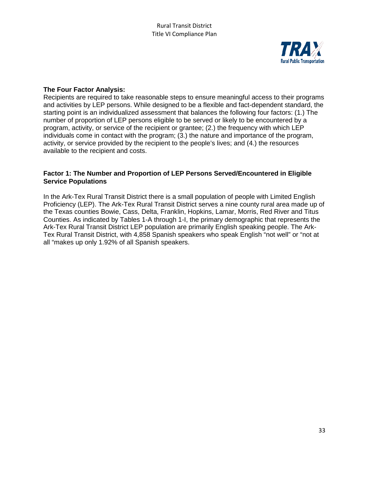

#### **The Four Factor Analysis:**

Recipients are required to take reasonable steps to ensure meaningful access to their programs and activities by LEP persons. While designed to be a flexible and fact-dependent standard, the starting point is an individualized assessment that balances the following four factors: (1.) The number of proportion of LEP persons eligible to be served or likely to be encountered by a program, activity, or service of the recipient or grantee; (2.) the frequency with which LEP individuals come in contact with the program; (3.) the nature and importance of the program, activity, or service provided by the recipient to the people's lives; and (4.) the resources available to the recipient and costs.

#### **Factor 1: The Number and Proportion of LEP Persons Served/Encountered in Eligible Service Populations**

In the Ark-Tex Rural Transit District there is a small population of people with Limited English Proficiency (LEP). The Ark-Tex Rural Transit District serves a nine county rural area made up of the Texas counties Bowie, Cass, Delta, Franklin, Hopkins, Lamar, Morris, Red River and Titus Counties. As indicated by Tables 1-A through 1-I, the primary demographic that represents the Ark-Tex Rural Transit District LEP population are primarily English speaking people. The Ark-Tex Rural Transit District, with 4,858 Spanish speakers who speak English "not well" or "not at all "makes up only 1.92% of all Spanish speakers.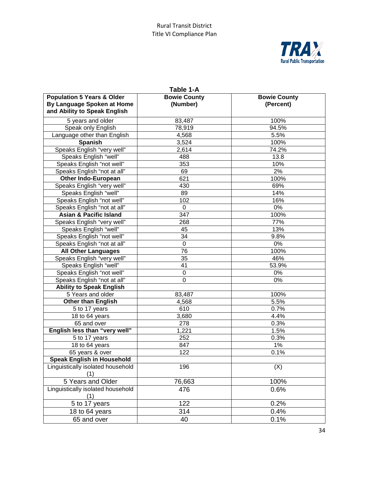

| By Language Spoken at Home<br>(Number)<br>(Percent)<br>and Ability to Speak English<br>5 years and older<br>100%<br>83,487<br>Speak only English<br>94.5%<br>78,919<br>Language other than English<br>4,568<br>5.5%<br><b>Spanish</b><br>3,524<br>100%<br>Speaks English "very well"<br>2,614<br>74.2%<br>Speaks English "well"<br>488<br>13.8<br>Speaks English "not well"<br>10%<br>353<br>Speaks English "not at all"<br>69<br>2%<br><b>Other Indo-European</b><br>621<br>100%<br>Speaks English "very well"<br>430<br>69%<br>Speaks English "well"<br>89<br>14%<br>Speaks English "not well"<br>16%<br>102<br>Speaks English "not at all"<br>0<br>0%<br><b>Asian &amp; Pacific Island</b><br>347<br>100%<br>Speaks English "very well"<br>268<br>77%<br>Speaks English "well"<br>13%<br>45<br>Speaks English "not well"<br>34<br>9.8%<br>Speaks English "not at all"<br>$\boldsymbol{0}$<br>0%<br><b>All Other Languages</b><br>76<br>100%<br>Speaks English "very well"<br>46%<br>35<br>Speaks English "well"<br>41<br>53.9%<br>Speaks English "not well"<br>0%<br>0<br>Speaks English "not at all"<br>0<br>$0\%$<br><b>Ability to Speak English</b><br>5 Years and older<br>100%<br>83,487<br><b>Other than English</b><br>5.5%<br>4,568<br>610<br>0.7%<br>5 to 17 years<br>3,680<br>4.4%<br>18 to 64 years<br>0.3%<br>65 and over<br>278<br>English less than "very well"<br>1,221<br>1.5%<br>252<br>0.3%<br>5 to 17 years<br>1%<br>18 to 64 years<br>847<br>122<br>0.1%<br>65 years & over<br><b>Speak English in Household</b><br>Linguistically isolated household<br>196<br>(X)<br>(1)<br>5 Years and Older<br>100%<br>76,663<br>Linguistically isolated household<br>476<br>0.6%<br>(1)<br>122<br>0.2%<br>5 to 17 years<br>0.4%<br>314<br>18 to 64 years | Table 1-A                             |                     |                     |  |  |  |  |
|----------------------------------------------------------------------------------------------------------------------------------------------------------------------------------------------------------------------------------------------------------------------------------------------------------------------------------------------------------------------------------------------------------------------------------------------------------------------------------------------------------------------------------------------------------------------------------------------------------------------------------------------------------------------------------------------------------------------------------------------------------------------------------------------------------------------------------------------------------------------------------------------------------------------------------------------------------------------------------------------------------------------------------------------------------------------------------------------------------------------------------------------------------------------------------------------------------------------------------------------------------------------------------------------------------------------------------------------------------------------------------------------------------------------------------------------------------------------------------------------------------------------------------------------------------------------------------------------------------------------------------------------------------------------------------------------------------------------------------------------------------------------|---------------------------------------|---------------------|---------------------|--|--|--|--|
|                                                                                                                                                                                                                                                                                                                                                                                                                                                                                                                                                                                                                                                                                                                                                                                                                                                                                                                                                                                                                                                                                                                                                                                                                                                                                                                                                                                                                                                                                                                                                                                                                                                                                                                                                                      | <b>Population 5 Years &amp; Older</b> | <b>Bowie County</b> | <b>Bowie County</b> |  |  |  |  |
|                                                                                                                                                                                                                                                                                                                                                                                                                                                                                                                                                                                                                                                                                                                                                                                                                                                                                                                                                                                                                                                                                                                                                                                                                                                                                                                                                                                                                                                                                                                                                                                                                                                                                                                                                                      |                                       |                     |                     |  |  |  |  |
|                                                                                                                                                                                                                                                                                                                                                                                                                                                                                                                                                                                                                                                                                                                                                                                                                                                                                                                                                                                                                                                                                                                                                                                                                                                                                                                                                                                                                                                                                                                                                                                                                                                                                                                                                                      |                                       |                     |                     |  |  |  |  |
|                                                                                                                                                                                                                                                                                                                                                                                                                                                                                                                                                                                                                                                                                                                                                                                                                                                                                                                                                                                                                                                                                                                                                                                                                                                                                                                                                                                                                                                                                                                                                                                                                                                                                                                                                                      |                                       |                     |                     |  |  |  |  |
|                                                                                                                                                                                                                                                                                                                                                                                                                                                                                                                                                                                                                                                                                                                                                                                                                                                                                                                                                                                                                                                                                                                                                                                                                                                                                                                                                                                                                                                                                                                                                                                                                                                                                                                                                                      |                                       |                     |                     |  |  |  |  |
|                                                                                                                                                                                                                                                                                                                                                                                                                                                                                                                                                                                                                                                                                                                                                                                                                                                                                                                                                                                                                                                                                                                                                                                                                                                                                                                                                                                                                                                                                                                                                                                                                                                                                                                                                                      |                                       |                     |                     |  |  |  |  |
|                                                                                                                                                                                                                                                                                                                                                                                                                                                                                                                                                                                                                                                                                                                                                                                                                                                                                                                                                                                                                                                                                                                                                                                                                                                                                                                                                                                                                                                                                                                                                                                                                                                                                                                                                                      |                                       |                     |                     |  |  |  |  |
|                                                                                                                                                                                                                                                                                                                                                                                                                                                                                                                                                                                                                                                                                                                                                                                                                                                                                                                                                                                                                                                                                                                                                                                                                                                                                                                                                                                                                                                                                                                                                                                                                                                                                                                                                                      |                                       |                     |                     |  |  |  |  |
|                                                                                                                                                                                                                                                                                                                                                                                                                                                                                                                                                                                                                                                                                                                                                                                                                                                                                                                                                                                                                                                                                                                                                                                                                                                                                                                                                                                                                                                                                                                                                                                                                                                                                                                                                                      |                                       |                     |                     |  |  |  |  |
|                                                                                                                                                                                                                                                                                                                                                                                                                                                                                                                                                                                                                                                                                                                                                                                                                                                                                                                                                                                                                                                                                                                                                                                                                                                                                                                                                                                                                                                                                                                                                                                                                                                                                                                                                                      |                                       |                     |                     |  |  |  |  |
|                                                                                                                                                                                                                                                                                                                                                                                                                                                                                                                                                                                                                                                                                                                                                                                                                                                                                                                                                                                                                                                                                                                                                                                                                                                                                                                                                                                                                                                                                                                                                                                                                                                                                                                                                                      |                                       |                     |                     |  |  |  |  |
|                                                                                                                                                                                                                                                                                                                                                                                                                                                                                                                                                                                                                                                                                                                                                                                                                                                                                                                                                                                                                                                                                                                                                                                                                                                                                                                                                                                                                                                                                                                                                                                                                                                                                                                                                                      |                                       |                     |                     |  |  |  |  |
|                                                                                                                                                                                                                                                                                                                                                                                                                                                                                                                                                                                                                                                                                                                                                                                                                                                                                                                                                                                                                                                                                                                                                                                                                                                                                                                                                                                                                                                                                                                                                                                                                                                                                                                                                                      |                                       |                     |                     |  |  |  |  |
|                                                                                                                                                                                                                                                                                                                                                                                                                                                                                                                                                                                                                                                                                                                                                                                                                                                                                                                                                                                                                                                                                                                                                                                                                                                                                                                                                                                                                                                                                                                                                                                                                                                                                                                                                                      |                                       |                     |                     |  |  |  |  |
|                                                                                                                                                                                                                                                                                                                                                                                                                                                                                                                                                                                                                                                                                                                                                                                                                                                                                                                                                                                                                                                                                                                                                                                                                                                                                                                                                                                                                                                                                                                                                                                                                                                                                                                                                                      |                                       |                     |                     |  |  |  |  |
|                                                                                                                                                                                                                                                                                                                                                                                                                                                                                                                                                                                                                                                                                                                                                                                                                                                                                                                                                                                                                                                                                                                                                                                                                                                                                                                                                                                                                                                                                                                                                                                                                                                                                                                                                                      |                                       |                     |                     |  |  |  |  |
|                                                                                                                                                                                                                                                                                                                                                                                                                                                                                                                                                                                                                                                                                                                                                                                                                                                                                                                                                                                                                                                                                                                                                                                                                                                                                                                                                                                                                                                                                                                                                                                                                                                                                                                                                                      |                                       |                     |                     |  |  |  |  |
|                                                                                                                                                                                                                                                                                                                                                                                                                                                                                                                                                                                                                                                                                                                                                                                                                                                                                                                                                                                                                                                                                                                                                                                                                                                                                                                                                                                                                                                                                                                                                                                                                                                                                                                                                                      |                                       |                     |                     |  |  |  |  |
|                                                                                                                                                                                                                                                                                                                                                                                                                                                                                                                                                                                                                                                                                                                                                                                                                                                                                                                                                                                                                                                                                                                                                                                                                                                                                                                                                                                                                                                                                                                                                                                                                                                                                                                                                                      |                                       |                     |                     |  |  |  |  |
|                                                                                                                                                                                                                                                                                                                                                                                                                                                                                                                                                                                                                                                                                                                                                                                                                                                                                                                                                                                                                                                                                                                                                                                                                                                                                                                                                                                                                                                                                                                                                                                                                                                                                                                                                                      |                                       |                     |                     |  |  |  |  |
|                                                                                                                                                                                                                                                                                                                                                                                                                                                                                                                                                                                                                                                                                                                                                                                                                                                                                                                                                                                                                                                                                                                                                                                                                                                                                                                                                                                                                                                                                                                                                                                                                                                                                                                                                                      |                                       |                     |                     |  |  |  |  |
|                                                                                                                                                                                                                                                                                                                                                                                                                                                                                                                                                                                                                                                                                                                                                                                                                                                                                                                                                                                                                                                                                                                                                                                                                                                                                                                                                                                                                                                                                                                                                                                                                                                                                                                                                                      |                                       |                     |                     |  |  |  |  |
|                                                                                                                                                                                                                                                                                                                                                                                                                                                                                                                                                                                                                                                                                                                                                                                                                                                                                                                                                                                                                                                                                                                                                                                                                                                                                                                                                                                                                                                                                                                                                                                                                                                                                                                                                                      |                                       |                     |                     |  |  |  |  |
|                                                                                                                                                                                                                                                                                                                                                                                                                                                                                                                                                                                                                                                                                                                                                                                                                                                                                                                                                                                                                                                                                                                                                                                                                                                                                                                                                                                                                                                                                                                                                                                                                                                                                                                                                                      |                                       |                     |                     |  |  |  |  |
|                                                                                                                                                                                                                                                                                                                                                                                                                                                                                                                                                                                                                                                                                                                                                                                                                                                                                                                                                                                                                                                                                                                                                                                                                                                                                                                                                                                                                                                                                                                                                                                                                                                                                                                                                                      |                                       |                     |                     |  |  |  |  |
|                                                                                                                                                                                                                                                                                                                                                                                                                                                                                                                                                                                                                                                                                                                                                                                                                                                                                                                                                                                                                                                                                                                                                                                                                                                                                                                                                                                                                                                                                                                                                                                                                                                                                                                                                                      |                                       |                     |                     |  |  |  |  |
|                                                                                                                                                                                                                                                                                                                                                                                                                                                                                                                                                                                                                                                                                                                                                                                                                                                                                                                                                                                                                                                                                                                                                                                                                                                                                                                                                                                                                                                                                                                                                                                                                                                                                                                                                                      |                                       |                     |                     |  |  |  |  |
|                                                                                                                                                                                                                                                                                                                                                                                                                                                                                                                                                                                                                                                                                                                                                                                                                                                                                                                                                                                                                                                                                                                                                                                                                                                                                                                                                                                                                                                                                                                                                                                                                                                                                                                                                                      |                                       |                     |                     |  |  |  |  |
|                                                                                                                                                                                                                                                                                                                                                                                                                                                                                                                                                                                                                                                                                                                                                                                                                                                                                                                                                                                                                                                                                                                                                                                                                                                                                                                                                                                                                                                                                                                                                                                                                                                                                                                                                                      |                                       |                     |                     |  |  |  |  |
|                                                                                                                                                                                                                                                                                                                                                                                                                                                                                                                                                                                                                                                                                                                                                                                                                                                                                                                                                                                                                                                                                                                                                                                                                                                                                                                                                                                                                                                                                                                                                                                                                                                                                                                                                                      |                                       |                     |                     |  |  |  |  |
|                                                                                                                                                                                                                                                                                                                                                                                                                                                                                                                                                                                                                                                                                                                                                                                                                                                                                                                                                                                                                                                                                                                                                                                                                                                                                                                                                                                                                                                                                                                                                                                                                                                                                                                                                                      |                                       |                     |                     |  |  |  |  |
|                                                                                                                                                                                                                                                                                                                                                                                                                                                                                                                                                                                                                                                                                                                                                                                                                                                                                                                                                                                                                                                                                                                                                                                                                                                                                                                                                                                                                                                                                                                                                                                                                                                                                                                                                                      |                                       |                     |                     |  |  |  |  |
|                                                                                                                                                                                                                                                                                                                                                                                                                                                                                                                                                                                                                                                                                                                                                                                                                                                                                                                                                                                                                                                                                                                                                                                                                                                                                                                                                                                                                                                                                                                                                                                                                                                                                                                                                                      |                                       |                     |                     |  |  |  |  |
|                                                                                                                                                                                                                                                                                                                                                                                                                                                                                                                                                                                                                                                                                                                                                                                                                                                                                                                                                                                                                                                                                                                                                                                                                                                                                                                                                                                                                                                                                                                                                                                                                                                                                                                                                                      |                                       |                     |                     |  |  |  |  |
|                                                                                                                                                                                                                                                                                                                                                                                                                                                                                                                                                                                                                                                                                                                                                                                                                                                                                                                                                                                                                                                                                                                                                                                                                                                                                                                                                                                                                                                                                                                                                                                                                                                                                                                                                                      |                                       |                     |                     |  |  |  |  |
|                                                                                                                                                                                                                                                                                                                                                                                                                                                                                                                                                                                                                                                                                                                                                                                                                                                                                                                                                                                                                                                                                                                                                                                                                                                                                                                                                                                                                                                                                                                                                                                                                                                                                                                                                                      |                                       |                     |                     |  |  |  |  |
|                                                                                                                                                                                                                                                                                                                                                                                                                                                                                                                                                                                                                                                                                                                                                                                                                                                                                                                                                                                                                                                                                                                                                                                                                                                                                                                                                                                                                                                                                                                                                                                                                                                                                                                                                                      |                                       |                     |                     |  |  |  |  |
|                                                                                                                                                                                                                                                                                                                                                                                                                                                                                                                                                                                                                                                                                                                                                                                                                                                                                                                                                                                                                                                                                                                                                                                                                                                                                                                                                                                                                                                                                                                                                                                                                                                                                                                                                                      |                                       |                     |                     |  |  |  |  |
|                                                                                                                                                                                                                                                                                                                                                                                                                                                                                                                                                                                                                                                                                                                                                                                                                                                                                                                                                                                                                                                                                                                                                                                                                                                                                                                                                                                                                                                                                                                                                                                                                                                                                                                                                                      |                                       |                     |                     |  |  |  |  |
|                                                                                                                                                                                                                                                                                                                                                                                                                                                                                                                                                                                                                                                                                                                                                                                                                                                                                                                                                                                                                                                                                                                                                                                                                                                                                                                                                                                                                                                                                                                                                                                                                                                                                                                                                                      |                                       |                     |                     |  |  |  |  |
|                                                                                                                                                                                                                                                                                                                                                                                                                                                                                                                                                                                                                                                                                                                                                                                                                                                                                                                                                                                                                                                                                                                                                                                                                                                                                                                                                                                                                                                                                                                                                                                                                                                                                                                                                                      | 65 and over                           | 0.1%<br>40          |                     |  |  |  |  |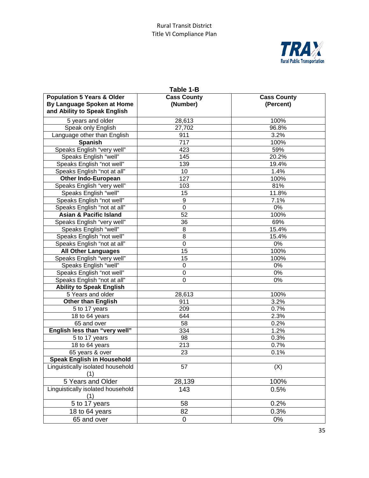

| Table 1-B                                                                                           |                                |                                 |  |  |
|-----------------------------------------------------------------------------------------------------|--------------------------------|---------------------------------|--|--|
| <b>Population 5 Years &amp; Older</b><br>By Language Spoken at Home<br>and Ability to Speak English | <b>Cass County</b><br>(Number) | <b>Cass County</b><br>(Percent) |  |  |
| 5 years and older                                                                                   | 28,613                         | 100%                            |  |  |
| Speak only English                                                                                  | 27,702                         | 96.8%                           |  |  |
| Language other than English                                                                         | 911                            | 3.2%                            |  |  |
| <b>Spanish</b>                                                                                      | 717                            | 100%                            |  |  |
| Speaks English "very well"                                                                          | 423                            | 59%                             |  |  |
| Speaks English "well"                                                                               | 145                            | 20.2%                           |  |  |
| Speaks English "not well"                                                                           | 139                            | 19.4%                           |  |  |
| Speaks English "not at all"                                                                         | 10                             | 1.4%                            |  |  |
| <b>Other Indo-European</b>                                                                          | 127                            | 100%                            |  |  |
| Speaks English "very well"                                                                          | 103                            | 81%                             |  |  |
| Speaks English "well"                                                                               | 15                             | 11.8%                           |  |  |
| Speaks English "not well"                                                                           | 9                              | 7.1%                            |  |  |
| Speaks English "not at all"                                                                         | $\overline{0}$                 | $0\%$                           |  |  |
| <b>Asian &amp; Pacific Island</b>                                                                   | 52                             | 100%                            |  |  |
| Speaks English "very well"                                                                          | 36                             | 69%                             |  |  |
| Speaks English "well"                                                                               | 8                              | 15.4%                           |  |  |
| Speaks English "not well"                                                                           | $\overline{8}$                 | 15.4%                           |  |  |
| Speaks English "not at all"                                                                         | $\mathbf 0$                    | $0\%$                           |  |  |
| <b>All Other Languages</b>                                                                          | 15                             | 100%                            |  |  |
| Speaks English "very well"                                                                          | 15                             | 100%                            |  |  |
| Speaks English "well"                                                                               | 0                              | $0\%$                           |  |  |
| Speaks English "not well"                                                                           | 0                              | $0\%$                           |  |  |
| Speaks English "not at all"                                                                         | $\overline{0}$                 | $0\%$                           |  |  |
| <b>Ability to Speak English</b>                                                                     |                                |                                 |  |  |
| 5 Years and older                                                                                   | 28,613                         | 100%                            |  |  |
| <b>Other than English</b>                                                                           | 911                            | 3.2%                            |  |  |
| 5 to 17 years                                                                                       | 209                            | 0.7%                            |  |  |
| 18 to 64 years                                                                                      | 644                            | 2.3%                            |  |  |
| 65 and over                                                                                         | 58                             | 0.2%                            |  |  |
| English less than "very well"                                                                       | 334                            | 1.2%                            |  |  |
| 5 to 17 years                                                                                       | 98                             | 0.3%                            |  |  |
| 18 to 64 years                                                                                      | 213                            | 0.7%                            |  |  |
| 65 years & over                                                                                     | 23                             | 0.1%                            |  |  |
| <b>Speak English in Household</b>                                                                   |                                |                                 |  |  |
| Linguistically isolated household<br>(1)                                                            | 57                             | (X)                             |  |  |
| 5 Years and Older                                                                                   | 28,139                         | 100%                            |  |  |
| Linguistically isolated household<br>(1)                                                            | 143                            | 0.5%                            |  |  |
| 5 to 17 years                                                                                       | 58                             | 0.2%                            |  |  |
| 18 to 64 years                                                                                      | 82                             | 0.3%                            |  |  |
| 65 and over                                                                                         | 0                              | $0\%$                           |  |  |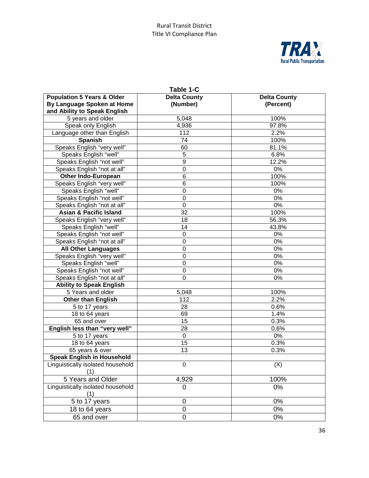

| Table 1-C                                                                                           |                                 |                                  |  |  |
|-----------------------------------------------------------------------------------------------------|---------------------------------|----------------------------------|--|--|
| <b>Population 5 Years &amp; Older</b><br>By Language Spoken at Home<br>and Ability to Speak English | <b>Delta County</b><br>(Number) | <b>Delta County</b><br>(Percent) |  |  |
| 5 years and older                                                                                   | 5,048                           | 100%                             |  |  |
| Speak only English                                                                                  | 4,936                           | 97.8%                            |  |  |
| Language other than English                                                                         | 112                             | 2.2%                             |  |  |
| <b>Spanish</b>                                                                                      | 74                              | 100%                             |  |  |
| Speaks English "very well"                                                                          | 60                              | 81.1%                            |  |  |
| Speaks English "well"                                                                               | 5                               | 6.8%                             |  |  |
| Speaks English "not well"                                                                           | 9                               | 12.2%                            |  |  |
| Speaks English "not at all"                                                                         | 0                               | $0\%$                            |  |  |
| <b>Other Indo-European</b>                                                                          | 6                               | 100%                             |  |  |
| Speaks English "very well"                                                                          | 6                               | 100%                             |  |  |
| Speaks English "well"                                                                               | 0                               | 0%                               |  |  |
| Speaks English "not well"                                                                           | 0                               | $0\%$                            |  |  |
| Speaks English "not at all"                                                                         | 0                               | $0\%$                            |  |  |
| <b>Asian &amp; Pacific Island</b>                                                                   | $\overline{32}$                 | 100%                             |  |  |
| Speaks English "very well"                                                                          | 18                              | 56.3%                            |  |  |
| Speaks English "well"                                                                               | 14                              | 43.8%                            |  |  |
| Speaks English "not well"                                                                           | 0                               | 0%                               |  |  |
| Speaks English "not at all"                                                                         | 0                               | 0%                               |  |  |
| <b>All Other Languages</b>                                                                          | 0                               | 0%                               |  |  |
| Speaks English "very well"                                                                          | 0                               | 0%                               |  |  |
| Speaks English "well"                                                                               | 0                               | 0%                               |  |  |
| Speaks English "not well"                                                                           | 0<br>0%                         |                                  |  |  |
| Speaks English "not at all"                                                                         | 0                               | 0%                               |  |  |
| <b>Ability to Speak English</b>                                                                     |                                 |                                  |  |  |
| 5 Years and older                                                                                   | 5,048                           | 100%                             |  |  |
| <b>Other than English</b>                                                                           | 112                             | 2.2%                             |  |  |
| 5 to 17 years                                                                                       | 28                              | 0.6%                             |  |  |
| 18 to 64 years                                                                                      | 69                              | 1.4%                             |  |  |
| 65 and over                                                                                         | 15                              | 0.3%                             |  |  |
| English less than "very well"                                                                       | 28                              | 0.6%                             |  |  |
| 5 to 17 years                                                                                       | 0                               | 0%                               |  |  |
| 18 to 64 years                                                                                      | 15                              | 0.3%                             |  |  |
| 65 years & over                                                                                     | 13                              | 0.3%                             |  |  |
| <b>Speak English in Household</b>                                                                   |                                 |                                  |  |  |
| Linguistically isolated household<br>(1)                                                            | $\overline{0}$                  | (X)                              |  |  |
| 5 Years and Older                                                                                   | 4,929                           | 100%                             |  |  |
| Linguistically isolated household<br>(1)                                                            | 0                               | 0%                               |  |  |
| 5 to 17 years                                                                                       | 0                               | 0%                               |  |  |
| 18 to 64 years                                                                                      | $\mathsf 0$                     | 0%                               |  |  |
| 65 and over                                                                                         | $\overline{0}$                  | 0%                               |  |  |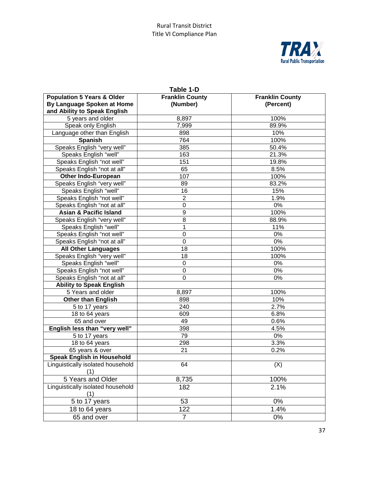

| Table 1-D                                                                                           |                                    |                                     |  |  |
|-----------------------------------------------------------------------------------------------------|------------------------------------|-------------------------------------|--|--|
| <b>Population 5 Years &amp; Older</b><br>By Language Spoken at Home<br>and Ability to Speak English | <b>Franklin County</b><br>(Number) | <b>Franklin County</b><br>(Percent) |  |  |
| 5 years and older                                                                                   | 8,897<br>100%                      |                                     |  |  |
| Speak only English                                                                                  | 7,999                              | 89.9%                               |  |  |
| Language other than English                                                                         | 898                                | 10%                                 |  |  |
| <b>Spanish</b>                                                                                      | 764                                | 100%                                |  |  |
| Speaks English "very well"                                                                          | 385                                | 50.4%                               |  |  |
| Speaks English "well"                                                                               | 163                                | 21.3%                               |  |  |
| Speaks English "not well"                                                                           | 151                                | 19.8%                               |  |  |
| Speaks English "not at all"                                                                         | 65                                 | 8.5%                                |  |  |
| <b>Other Indo-European</b>                                                                          | 107                                | 100%                                |  |  |
| Speaks English "very well"                                                                          | 89                                 | 83.2%                               |  |  |
| Speaks English "well"                                                                               | 16                                 | 15%                                 |  |  |
| Speaks English "not well"                                                                           | $\overline{c}$                     | 1.9%                                |  |  |
| Speaks English "not at all"                                                                         | 0                                  | 0%                                  |  |  |
| <b>Asian &amp; Pacific Island</b>                                                                   | 9                                  | 100%                                |  |  |
| Speaks English "very well"                                                                          | 8                                  | 88.9%                               |  |  |
| Speaks English "well"                                                                               | 1                                  | 11%                                 |  |  |
| Speaks English "not well"                                                                           | 0                                  | 0%                                  |  |  |
| Speaks English "not at all"                                                                         | 0                                  | 0%                                  |  |  |
| <b>All Other Languages</b>                                                                          | 18                                 | 100%                                |  |  |
| Speaks English "very well"                                                                          | 18                                 | 100%                                |  |  |
| Speaks English "well"                                                                               | 0                                  | 0%                                  |  |  |
| Speaks English "not well"                                                                           | 0                                  | 0%                                  |  |  |
| Speaks English "not at all"                                                                         | 0                                  | 0%                                  |  |  |
| <b>Ability to Speak English</b>                                                                     |                                    |                                     |  |  |
| 5 Years and older                                                                                   | 8,897                              | 100%                                |  |  |
| <b>Other than English</b>                                                                           | 898                                | 10%                                 |  |  |
| 5 to 17 years                                                                                       | 240                                | 2.7%                                |  |  |
| 18 to 64 years                                                                                      | 609                                | 6.8%                                |  |  |
| 65 and over                                                                                         | 49                                 | 0.6%                                |  |  |
| English less than "very well"                                                                       | 398                                | 4.5%                                |  |  |
| 5 to 17 years                                                                                       | 79                                 | 0%                                  |  |  |
| 18 to 64 years                                                                                      | 298                                | 3.3%                                |  |  |
| 65 years & over                                                                                     | 21                                 | 0.2%                                |  |  |
| <b>Speak English in Household</b>                                                                   |                                    |                                     |  |  |
| Linguistically isolated household<br>(1)                                                            | 64                                 | (X)                                 |  |  |
| 5 Years and Older                                                                                   | 8,735                              | 100%                                |  |  |
| Linguistically isolated household<br>(1)                                                            | 182                                | 2.1%                                |  |  |
| 5 to 17 years                                                                                       | 53                                 | 0%                                  |  |  |
| 18 to 64 years                                                                                      | 122                                | 1.4%                                |  |  |
| 65 and over                                                                                         | $\overline{7}$                     | 0%                                  |  |  |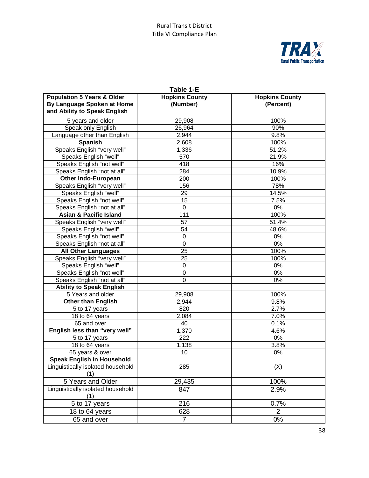

| Table 1-E                                                                                           |                                   |                                    |  |  |
|-----------------------------------------------------------------------------------------------------|-----------------------------------|------------------------------------|--|--|
| <b>Population 5 Years &amp; Older</b><br>By Language Spoken at Home<br>and Ability to Speak English | <b>Hopkins County</b><br>(Number) | <b>Hopkins County</b><br>(Percent) |  |  |
| 5 years and older                                                                                   | 29,908                            | 100%                               |  |  |
| Speak only English                                                                                  | 26,964                            | 90%                                |  |  |
| Language other than English                                                                         | 2,944                             | 9.8%                               |  |  |
| <b>Spanish</b>                                                                                      | 2,608                             | 100%                               |  |  |
| Speaks English "very well"                                                                          | 1,336                             | 51.2%                              |  |  |
| Speaks English "well"                                                                               | 570                               | 21.9%                              |  |  |
| Speaks English "not well"                                                                           | 418                               | 16%                                |  |  |
| Speaks English "not at all"                                                                         | 284                               | 10.9%                              |  |  |
| <b>Other Indo-European</b>                                                                          | 200                               | 100%                               |  |  |
| Speaks English "very well"                                                                          | 156                               | 78%                                |  |  |
| Speaks English "well"                                                                               | 29                                | 14.5%                              |  |  |
| Speaks English "not well"                                                                           | 15                                | 7.5%                               |  |  |
| Speaks English "not at all"                                                                         | 0                                 | 0%                                 |  |  |
| <b>Asian &amp; Pacific Island</b>                                                                   | 111                               | 100%                               |  |  |
| Speaks English "very well"                                                                          | 57                                | 51.4%                              |  |  |
| Speaks English "well"                                                                               | 54                                | 48.6%                              |  |  |
| Speaks English "not well"                                                                           | 0                                 | $0\%$                              |  |  |
| Speaks English "not at all"                                                                         | 0                                 | $0\%$                              |  |  |
| <b>All Other Languages</b>                                                                          | 25                                | 100%                               |  |  |
| Speaks English "very well"                                                                          | 25                                | 100%                               |  |  |
| Speaks English "well"                                                                               | 0                                 | $0\%$                              |  |  |
| Speaks English "not well"                                                                           | 0                                 | $0\%$                              |  |  |
| Speaks English "not at all"                                                                         | $\overline{0}$                    | $0\%$                              |  |  |
| <b>Ability to Speak English</b>                                                                     |                                   |                                    |  |  |
| 5 Years and older                                                                                   | 29,908                            | 100%                               |  |  |
| <b>Other than English</b>                                                                           | 2,944                             | 9.8%                               |  |  |
| 5 to 17 years                                                                                       | 820                               | 2.7%                               |  |  |
| 18 to 64 years                                                                                      | 2,084                             | 7.0%                               |  |  |
| 65 and over                                                                                         | 40                                | 0.1%                               |  |  |
| English less than "very well"                                                                       | 1,370                             | 4.6%                               |  |  |
| 5 to 17 years                                                                                       | 222                               | 0%                                 |  |  |
| 18 to 64 years                                                                                      | 1,138                             | 3.8%                               |  |  |
| 65 years & over                                                                                     | 10                                | $0\%$                              |  |  |
| <b>Speak English in Household</b>                                                                   |                                   |                                    |  |  |
| Linguistically isolated household<br>(1)                                                            | 285                               | (X)                                |  |  |
| 5 Years and Older                                                                                   | 29,435                            | 100%                               |  |  |
| Linguistically isolated household<br>(1)                                                            | 847                               | 2.9%                               |  |  |
| 5 to 17 years                                                                                       | 216                               | 0.7%                               |  |  |
| 18 to 64 years                                                                                      | 628                               | $\overline{2}$                     |  |  |
| 65 and over                                                                                         | $\overline{7}$                    | $0\%$                              |  |  |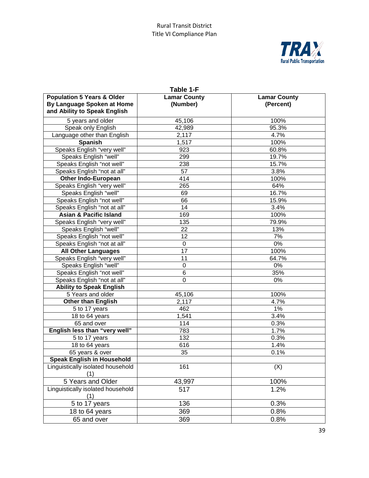

| Table 1-F                                                                                           |                                 |                                  |  |  |
|-----------------------------------------------------------------------------------------------------|---------------------------------|----------------------------------|--|--|
| <b>Population 5 Years &amp; Older</b><br>By Language Spoken at Home<br>and Ability to Speak English | <b>Lamar County</b><br>(Number) | <b>Lamar County</b><br>(Percent) |  |  |
| 5 years and older                                                                                   | 45,106                          | 100%                             |  |  |
| Speak only English                                                                                  | 42,989                          | 95.3%                            |  |  |
| Language other than English                                                                         | 2,117                           | 4.7%                             |  |  |
| <b>Spanish</b>                                                                                      | 1,517                           | 100%                             |  |  |
| Speaks English "very well"                                                                          | 923                             | 60.8%                            |  |  |
| Speaks English "well"                                                                               | 299                             | 19.7%                            |  |  |
| Speaks English "not well"                                                                           | 238                             | 15.7%                            |  |  |
| Speaks English "not at all"                                                                         | 57                              | 3.8%                             |  |  |
| <b>Other Indo-European</b>                                                                          | 414                             | 100%                             |  |  |
| Speaks English "very well"                                                                          | 265                             | 64%                              |  |  |
| Speaks English "well"                                                                               | 69                              | 16.7%                            |  |  |
| Speaks English "not well"                                                                           | 66                              | 15.9%                            |  |  |
| Speaks English "not at all"                                                                         | 14                              | 3.4%                             |  |  |
| <b>Asian &amp; Pacific Island</b>                                                                   | 169                             | 100%                             |  |  |
| Speaks English "very well"                                                                          | 135                             | 79.9%                            |  |  |
| Speaks English "well"                                                                               | 22                              | 13%                              |  |  |
| Speaks English "not well"                                                                           | 12                              | 7%                               |  |  |
| Speaks English "not at all"                                                                         | 0                               | $0\%$                            |  |  |
| <b>All Other Languages</b>                                                                          | 17                              | 100%                             |  |  |
| Speaks English "very well"                                                                          | 11                              | 64.7%                            |  |  |
| Speaks English "well"                                                                               | 0                               | 0%                               |  |  |
| Speaks English "not well"                                                                           | 6                               | 35%                              |  |  |
| Speaks English "not at all"                                                                         | 0                               | 0%                               |  |  |
| <b>Ability to Speak English</b>                                                                     |                                 |                                  |  |  |
| 5 Years and older                                                                                   | 45,106                          | 100%                             |  |  |
| <b>Other than English</b>                                                                           | 2,117                           | 4.7%                             |  |  |
| 5 to 17 years                                                                                       | 462                             | 1%                               |  |  |
| 18 to 64 years                                                                                      | 1,541                           | 3.4%                             |  |  |
| 65 and over                                                                                         | 114                             | 0.3%                             |  |  |
| English less than "very well"                                                                       | 783                             | 1.7%                             |  |  |
| 5 to 17 years                                                                                       | 132                             | 0.3%                             |  |  |
| 18 to 64 years                                                                                      | 616                             | 1.4%                             |  |  |
| 65 years & over                                                                                     | 35                              | 0.1%                             |  |  |
| <b>Speak English in Household</b>                                                                   |                                 |                                  |  |  |
| Linguistically isolated household<br>(1)                                                            | 161                             | (X)                              |  |  |
| 5 Years and Older                                                                                   | 43,997                          | 100%                             |  |  |
| Linguistically isolated household<br>(1)                                                            | 517                             | 1.2%                             |  |  |
| 5 to 17 years                                                                                       | 136                             | 0.3%                             |  |  |
| 18 to 64 years                                                                                      | 369                             | 0.8%                             |  |  |
| 65 and over                                                                                         | 369                             | 0.8%                             |  |  |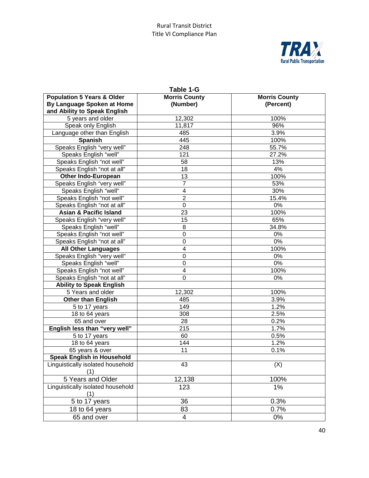

| Table 1-G                                                                                           |                                  |                                   |  |  |
|-----------------------------------------------------------------------------------------------------|----------------------------------|-----------------------------------|--|--|
| <b>Population 5 Years &amp; Older</b><br>By Language Spoken at Home<br>and Ability to Speak English | <b>Morris County</b><br>(Number) | <b>Morris County</b><br>(Percent) |  |  |
| 5 years and older                                                                                   | 12,302<br>100%                   |                                   |  |  |
| Speak only English                                                                                  | 11,817                           | 96%                               |  |  |
| Language other than English                                                                         | 485                              | 3.9%                              |  |  |
| <b>Spanish</b>                                                                                      | 445                              | 100%                              |  |  |
| Speaks English "very well"                                                                          | 248                              | 55.7%                             |  |  |
| Speaks English "well"                                                                               | 121                              | 27.2%                             |  |  |
| Speaks English "not well"                                                                           | 58                               | 13%                               |  |  |
| Speaks English "not at all"                                                                         | 18                               | 4%                                |  |  |
| <b>Other Indo-European</b>                                                                          | 13                               | 100%                              |  |  |
| Speaks English "very well"                                                                          | $\overline{7}$                   | 53%                               |  |  |
| Speaks English "well"                                                                               | 4                                | 30%                               |  |  |
| Speaks English "not well"                                                                           | $\overline{2}$                   | 15.4%                             |  |  |
| Speaks English "not at all"                                                                         | 0                                | 0%                                |  |  |
| <b>Asian &amp; Pacific Island</b>                                                                   | 23                               | 100%                              |  |  |
| Speaks English "very well"                                                                          | 15                               | 65%                               |  |  |
| Speaks English "well"                                                                               | 8                                | 34.8%                             |  |  |
| Speaks English "not well"                                                                           | 0                                | 0%                                |  |  |
| Speaks English "not at all"                                                                         | 0                                | 0%                                |  |  |
| <b>All Other Languages</b>                                                                          | 4                                | 100%                              |  |  |
| Speaks English "very well"                                                                          | 0                                | 0%                                |  |  |
| Speaks English "well"                                                                               | 0                                | 0%                                |  |  |
| Speaks English "not well"                                                                           | 4                                | 100%                              |  |  |
| Speaks English "not at all"                                                                         | 0                                | 0%                                |  |  |
| <b>Ability to Speak English</b>                                                                     |                                  |                                   |  |  |
| 5 Years and older                                                                                   | 12,302                           | 100%                              |  |  |
| Other than English                                                                                  | 485                              | 3.9%                              |  |  |
| 5 to 17 years                                                                                       | 149                              | 1.2%                              |  |  |
| 18 to 64 years                                                                                      | 308                              | 2.5%                              |  |  |
| 65 and over                                                                                         | 28                               | 0.2%                              |  |  |
| English less than "very well"                                                                       | 215                              | 1.7%                              |  |  |
| 5 to 17 years                                                                                       | 60                               | 0.5%                              |  |  |
| 18 to 64 years                                                                                      | 144                              | 1.2%                              |  |  |
| 65 years & over                                                                                     | 11                               | 0.1%                              |  |  |
| <b>Speak English in Household</b>                                                                   |                                  |                                   |  |  |
| Linguistically isolated household<br>(1)                                                            | 43                               | (X)                               |  |  |
| 5 Years and Older                                                                                   | 12,138                           | 100%                              |  |  |
| Linguistically isolated household<br>(1)                                                            | 123                              | 1%                                |  |  |
| 5 to 17 years                                                                                       | 36                               | 0.3%                              |  |  |
| 18 to 64 years                                                                                      | 83                               | 0.7%                              |  |  |
| 65 and over                                                                                         | $\overline{4}$                   | $0\%$                             |  |  |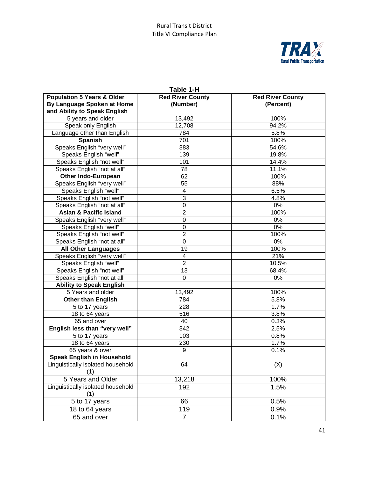

| Table 1-H                                                                                           |                                     |                                      |  |  |
|-----------------------------------------------------------------------------------------------------|-------------------------------------|--------------------------------------|--|--|
| <b>Population 5 Years &amp; Older</b><br>By Language Spoken at Home<br>and Ability to Speak English | <b>Red River County</b><br>(Number) | <b>Red River County</b><br>(Percent) |  |  |
| 5 years and older                                                                                   | 13,492                              | 100%                                 |  |  |
| Speak only English                                                                                  | 12,708                              | 94.2%                                |  |  |
| Language other than English                                                                         | 784                                 | 5.8%                                 |  |  |
| <b>Spanish</b>                                                                                      | 701                                 | 100%                                 |  |  |
| Speaks English "very well"                                                                          | 383                                 | 54.6%                                |  |  |
| Speaks English "well"                                                                               | 139                                 | 19.8%                                |  |  |
| Speaks English "not well"                                                                           | 101                                 | 14.4%                                |  |  |
| Speaks English "not at all"                                                                         | 78                                  | 11.1%                                |  |  |
| <b>Other Indo-European</b>                                                                          | 62                                  | 100%                                 |  |  |
| Speaks English "very well"                                                                          | 55                                  | 88%                                  |  |  |
| Speaks English "well"                                                                               | 4                                   | 6.5%                                 |  |  |
| Speaks English "not well"                                                                           | 3                                   | 4.8%                                 |  |  |
| Speaks English "not at all"                                                                         | $\mathbf 0$                         | 0%                                   |  |  |
| <b>Asian &amp; Pacific Island</b>                                                                   | $\overline{2}$                      | 100%                                 |  |  |
| Speaks English "very well"                                                                          | 0                                   | 0%                                   |  |  |
| Speaks English "well"                                                                               | 0                                   | $0\%$                                |  |  |
| Speaks English "not well"                                                                           | $\overline{2}$                      | 100%                                 |  |  |
| Speaks English "not at all"                                                                         | 0                                   | 0%                                   |  |  |
| <b>All Other Languages</b>                                                                          | 19                                  | 100%                                 |  |  |
| Speaks English "very well"                                                                          | 4                                   | 21%                                  |  |  |
| Speaks English "well"                                                                               | $\overline{2}$                      | 10.5%                                |  |  |
| Speaks English "not well"                                                                           | 13                                  | 68.4%                                |  |  |
| Speaks English "not at all"                                                                         | 0                                   | 0%                                   |  |  |
| <b>Ability to Speak English</b>                                                                     |                                     |                                      |  |  |
| 5 Years and older                                                                                   | 13,492                              | 100%                                 |  |  |
| <b>Other than English</b>                                                                           | 784                                 | 5.8%                                 |  |  |
| 5 to 17 years                                                                                       | 228                                 | 1.7%                                 |  |  |
| 18 to 64 years                                                                                      | 516                                 | 3.8%                                 |  |  |
| 65 and over                                                                                         | 40                                  | 0.3%                                 |  |  |
| English less than "very well"                                                                       | 342                                 | 2.5%                                 |  |  |
| 5 to 17 years                                                                                       | 103                                 | 0.8%                                 |  |  |
| 18 to 64 years                                                                                      | 230                                 | 1.7%                                 |  |  |
| 65 years & over                                                                                     | 9                                   | 0.1%                                 |  |  |
| <b>Speak English in Household</b>                                                                   |                                     |                                      |  |  |
| Linguistically isolated household<br>(1)                                                            | 64                                  | (X)                                  |  |  |
| 5 Years and Older                                                                                   | 13,218                              | 100%                                 |  |  |
| Linguistically isolated household<br>(1)                                                            | 192                                 | 1.5%                                 |  |  |
| 5 to 17 years                                                                                       | 66                                  | 0.5%                                 |  |  |
| 18 to 64 years                                                                                      | 119                                 | 0.9%                                 |  |  |
| 65 and over                                                                                         | $\overline{7}$                      | 0.1%                                 |  |  |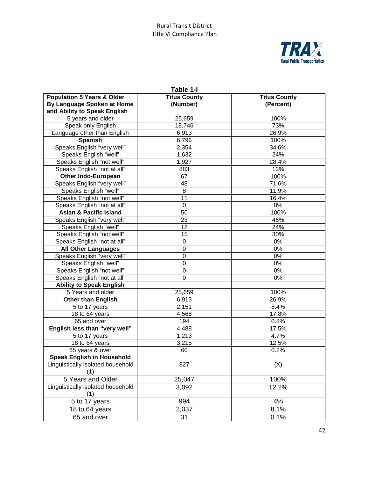

| Table 1-I                                                                                           |                                 |                                  |  |
|-----------------------------------------------------------------------------------------------------|---------------------------------|----------------------------------|--|
| <b>Population 5 Years &amp; Older</b><br>By Language Spoken at Home<br>and Ability to Speak English | <b>Titus County</b><br>(Number) | <b>Titus County</b><br>(Percent) |  |
| 5 years and older                                                                                   | 25,659                          | 100%                             |  |
| Speak only English                                                                                  | 18,746                          | 73%                              |  |
| Language other than English                                                                         | 6,913                           | 26.9%                            |  |
| <b>Spanish</b>                                                                                      | 6,796                           | 100%                             |  |
| Speaks English "very well"                                                                          | 2,354                           | 34.6%                            |  |
| Speaks English "well"                                                                               | 1,632                           | 24%                              |  |
| Speaks English "not well"                                                                           | 1,927                           | 28.4%                            |  |
| Speaks English "not at all"                                                                         | 883                             | 13%                              |  |
| <b>Other Indo-European</b>                                                                          | 67                              | 100%                             |  |
| Speaks English "very well"                                                                          | 48                              | 71.6%                            |  |
| Speaks English "well"                                                                               | 8                               | 11.9%                            |  |
| Speaks English "not well"                                                                           | 11                              | 16.4%                            |  |
| Speaks English "not at all"                                                                         | 0                               | 0%                               |  |
| <b>Asian &amp; Pacific Island</b>                                                                   | 50                              | 100%                             |  |
| Speaks English "very well"                                                                          | 23                              | 46%                              |  |
| Speaks English "well"                                                                               | 12                              | 24%                              |  |
| Speaks English "not well"                                                                           | 15                              | 30%                              |  |
| Speaks English "not at all"                                                                         | 0                               | $0\%$                            |  |
| <b>All Other Languages</b>                                                                          | $\mathbf 0$                     | 0%                               |  |
| Speaks English "very well"                                                                          | $\mathbf 0$                     | 0%                               |  |
| Speaks English "well"                                                                               | $\mathbf 0$                     | $0\%$                            |  |
| Speaks English "not well"                                                                           | $\mathbf 0$                     | 0%                               |  |
| Speaks English "not at all"                                                                         | $\overline{0}$                  | 0%                               |  |
| <b>Ability to Speak English</b>                                                                     |                                 |                                  |  |
| 5 Years and older                                                                                   | 25,659                          | 100%                             |  |
| <b>Other than English</b>                                                                           | 6,913                           | 26.9%                            |  |
| 5 to 17 years                                                                                       | 2,151                           | 8.4%                             |  |
| 18 to 64 years                                                                                      | 4,568                           | 17.8%                            |  |
| 65 and over                                                                                         | 194                             | 0.8%                             |  |
| English less than "very well"                                                                       | 4,488                           | 17.5%                            |  |
| 5 to 17 years                                                                                       | 1,213                           | 4.7%                             |  |
| 18 to 64 years                                                                                      | 3,215                           | 12.5%                            |  |
| 65 years & over                                                                                     | 60                              | 0.2%                             |  |
| <b>Speak English in Household</b>                                                                   |                                 |                                  |  |
| Linguistically isolated household<br>(1)                                                            | 827                             | (X)                              |  |
| 5 Years and Older                                                                                   | 25,047                          | 100%                             |  |
| Linguistically isolated household<br>(1)                                                            | 3,092                           | 12.2%                            |  |
| 5 to 17 years                                                                                       | 994                             | 4%                               |  |
| 18 to 64 years                                                                                      | 2,037                           | 8.1%                             |  |
| 65 and over                                                                                         | 31                              | 0.1%                             |  |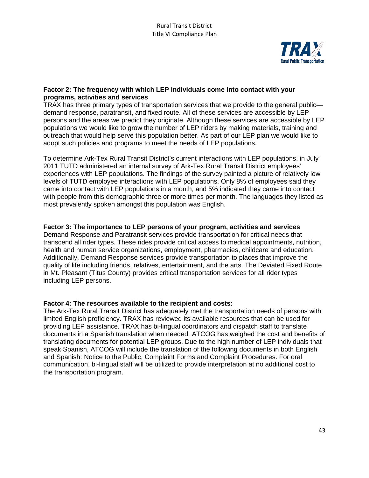

#### **Factor 2: The frequency with which LEP individuals come into contact with your programs, activities and services**

TRAX has three primary types of transportation services that we provide to the general public demand response, paratransit, and fixed route. All of these services are accessible by LEP persons and the areas we predict they originate. Although these services are accessible by LEP populations we would like to grow the number of LEP riders by making materials, training and outreach that would help serve this population better. As part of our LEP plan we would like to adopt such policies and programs to meet the needs of LEP populations.

To determine Ark-Tex Rural Transit District's current interactions with LEP populations, in July 2011 TUTD administered an internal survey of Ark-Tex Rural Transit District employees' experiences with LEP populations. The findings of the survey painted a picture of relatively low levels of TUTD employee interactions with LEP populations. Only 8% of employees said they came into contact with LEP populations in a month, and 5% indicated they came into contact with people from this demographic three or more times per month. The languages they listed as most prevalently spoken amongst this population was English.

#### **Factor 3: The importance to LEP persons of your program, activities and services**

Demand Response and Paratransit services provide transportation for critical needs that transcend all rider types. These rides provide critical access to medical appointments, nutrition, health and human service organizations, employment, pharmacies, childcare and education. Additionally, Demand Response services provide transportation to places that improve the quality of life including friends, relatives, entertainment, and the arts. The Deviated Fixed Route in Mt. Pleasant (Titus County) provides critical transportation services for all rider types including LEP persons.

#### **Factor 4: The resources available to the recipient and costs:**

The Ark-Tex Rural Transit District has adequately met the transportation needs of persons with limited English proficiency. TRAX has reviewed its available resources that can be used for providing LEP assistance. TRAX has bi-lingual coordinators and dispatch staff to translate documents in a Spanish translation when needed. ATCOG has weighed the cost and benefits of translating documents for potential LEP groups. Due to the high number of LEP individuals that speak Spanish, ATCOG will include the translation of the following documents in both English and Spanish: Notice to the Public, Complaint Forms and Complaint Procedures. For oral communication, bi-lingual staff will be utilized to provide interpretation at no additional cost to the transportation program.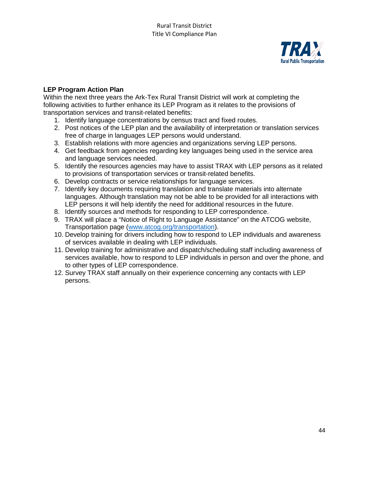

#### **LEP Program Action Plan**

Within the next three years the Ark-Tex Rural Transit District will work at completing the following activities to further enhance its LEP Program as it relates to the provisions of transportation services and transit-related benefits:

- 1. Identify language concentrations by census tract and fixed routes.
- 2. Post notices of the LEP plan and the availability of interpretation or translation services free of charge in languages LEP persons would understand.
- 3. Establish relations with more agencies and organizations serving LEP persons.
- 4. Get feedback from agencies regarding key languages being used in the service area and language services needed.
- 5. Identify the resources agencies may have to assist TRAX with LEP persons as it related to provisions of transportation services or transit-related benefits.
- 6. Develop contracts or service relationships for language services.
- 7. Identify key documents requiring translation and translate materials into alternate languages. Although translation may not be able to be provided for all interactions with LEP persons it will help identify the need for additional resources in the future.
- 8. Identify sources and methods for responding to LEP correspondence.
- 9. TRAX will place a "Notice of Right to Language Assistance" on the ATCOG website, Transportation page [\(www.atcog.org/transportation\)](http://www.atcog.org/transportation).
- 10. Develop training for drivers including how to respond to LEP individuals and awareness of services available in dealing with LEP individuals.
- 11. Develop training for administrative and dispatch/scheduling staff including awareness of services available, how to respond to LEP individuals in person and over the phone, and to other types of LEP correspondence.
- 12. Survey TRAX staff annually on their experience concerning any contacts with LEP persons.